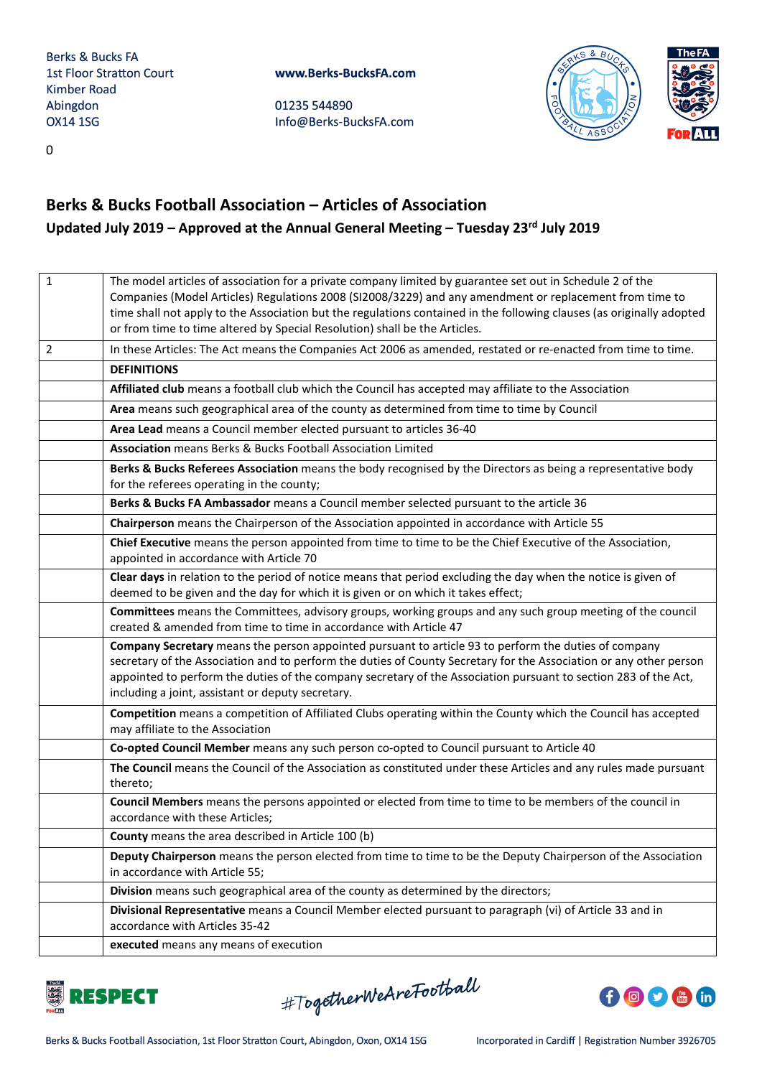01235 544890 Info@Berks-BucksFA.com





0

# **Berks & Bucks Football Association – Articles of Association Updated July 2019 – Approved at the Annual General Meeting – Tuesday 23rd July 2019**

| $\mathbf{1}$   | The model articles of association for a private company limited by guarantee set out in Schedule 2 of the<br>Companies (Model Articles) Regulations 2008 (SI2008/3229) and any amendment or replacement from time to<br>time shall not apply to the Association but the regulations contained in the following clauses (as originally adopted<br>or from time to time altered by Special Resolution) shall be the Articles. |
|----------------|-----------------------------------------------------------------------------------------------------------------------------------------------------------------------------------------------------------------------------------------------------------------------------------------------------------------------------------------------------------------------------------------------------------------------------|
| $\overline{2}$ | In these Articles: The Act means the Companies Act 2006 as amended, restated or re-enacted from time to time.                                                                                                                                                                                                                                                                                                               |
|                | <b>DEFINITIONS</b>                                                                                                                                                                                                                                                                                                                                                                                                          |
|                | Affiliated club means a football club which the Council has accepted may affiliate to the Association                                                                                                                                                                                                                                                                                                                       |
|                | Area means such geographical area of the county as determined from time to time by Council                                                                                                                                                                                                                                                                                                                                  |
|                | Area Lead means a Council member elected pursuant to articles 36-40                                                                                                                                                                                                                                                                                                                                                         |
|                | Association means Berks & Bucks Football Association Limited                                                                                                                                                                                                                                                                                                                                                                |
|                | Berks & Bucks Referees Association means the body recognised by the Directors as being a representative body<br>for the referees operating in the county;                                                                                                                                                                                                                                                                   |
|                | Berks & Bucks FA Ambassador means a Council member selected pursuant to the article 36                                                                                                                                                                                                                                                                                                                                      |
|                | Chairperson means the Chairperson of the Association appointed in accordance with Article 55                                                                                                                                                                                                                                                                                                                                |
|                | Chief Executive means the person appointed from time to time to be the Chief Executive of the Association,<br>appointed in accordance with Article 70                                                                                                                                                                                                                                                                       |
|                | Clear days in relation to the period of notice means that period excluding the day when the notice is given of<br>deemed to be given and the day for which it is given or on which it takes effect;                                                                                                                                                                                                                         |
|                | Committees means the Committees, advisory groups, working groups and any such group meeting of the council<br>created & amended from time to time in accordance with Article 47                                                                                                                                                                                                                                             |
|                | Company Secretary means the person appointed pursuant to article 93 to perform the duties of company<br>secretary of the Association and to perform the duties of County Secretary for the Association or any other person<br>appointed to perform the duties of the company secretary of the Association pursuant to section 283 of the Act,<br>including a joint, assistant or deputy secretary.                          |
|                | Competition means a competition of Affiliated Clubs operating within the County which the Council has accepted<br>may affiliate to the Association                                                                                                                                                                                                                                                                          |
|                | Co-opted Council Member means any such person co-opted to Council pursuant to Article 40                                                                                                                                                                                                                                                                                                                                    |
|                | The Council means the Council of the Association as constituted under these Articles and any rules made pursuant<br>thereto;                                                                                                                                                                                                                                                                                                |
|                | Council Members means the persons appointed or elected from time to time to be members of the council in<br>accordance with these Articles;                                                                                                                                                                                                                                                                                 |
|                | County means the area described in Article 100 (b)                                                                                                                                                                                                                                                                                                                                                                          |
|                | Deputy Chairperson means the person elected from time to time to be the Deputy Chairperson of the Association<br>in accordance with Article 55;                                                                                                                                                                                                                                                                             |
|                | Division means such geographical area of the county as determined by the directors;                                                                                                                                                                                                                                                                                                                                         |
|                | Divisional Representative means a Council Member elected pursuant to paragraph (vi) of Article 33 and in<br>accordance with Articles 35-42                                                                                                                                                                                                                                                                                  |
|                | executed means any means of execution                                                                                                                                                                                                                                                                                                                                                                                       |
|                |                                                                                                                                                                                                                                                                                                                                                                                                                             |



#TogetherWeAreFootball

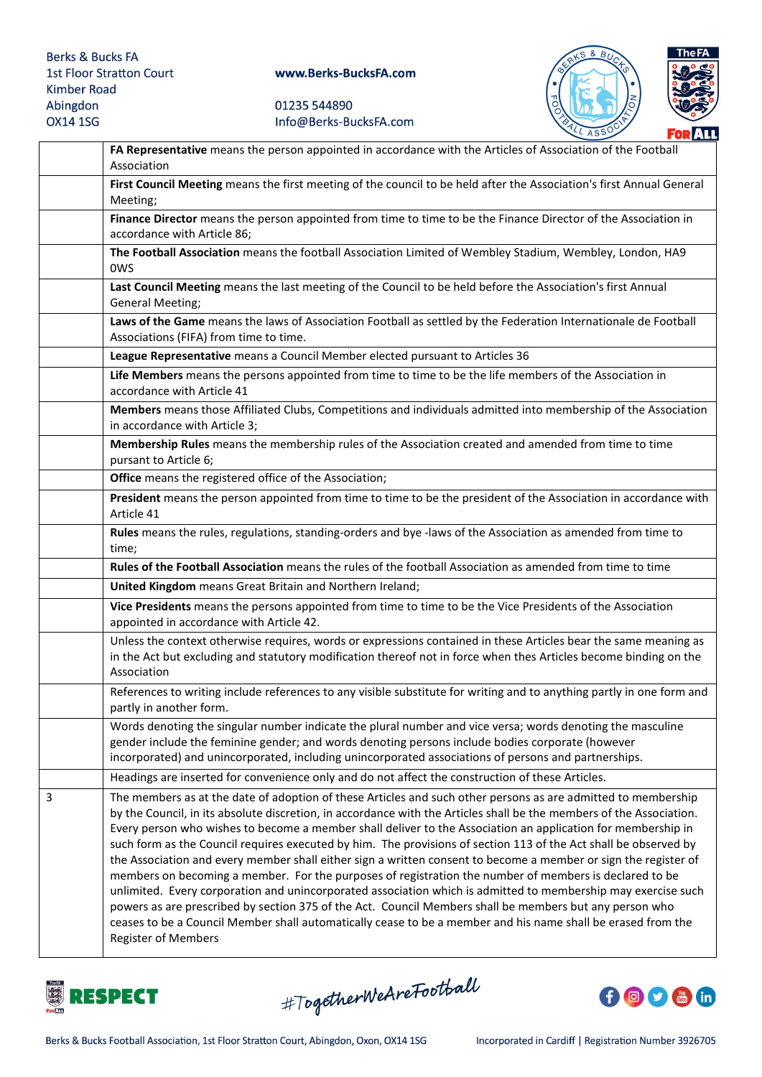



|   | FA Representative means the person appointed in accordance with the Articles of Association of the Football<br>Association                                                                                                                                                                                                                                                                                                                                                                                                                                                                                                                                                                                                                                                                                                                                                                                                                                                                                                                                                       |
|---|----------------------------------------------------------------------------------------------------------------------------------------------------------------------------------------------------------------------------------------------------------------------------------------------------------------------------------------------------------------------------------------------------------------------------------------------------------------------------------------------------------------------------------------------------------------------------------------------------------------------------------------------------------------------------------------------------------------------------------------------------------------------------------------------------------------------------------------------------------------------------------------------------------------------------------------------------------------------------------------------------------------------------------------------------------------------------------|
|   | First Council Meeting means the first meeting of the council to be held after the Association's first Annual General<br>Meeting;                                                                                                                                                                                                                                                                                                                                                                                                                                                                                                                                                                                                                                                                                                                                                                                                                                                                                                                                                 |
|   | Finance Director means the person appointed from time to time to be the Finance Director of the Association in<br>accordance with Article 86;                                                                                                                                                                                                                                                                                                                                                                                                                                                                                                                                                                                                                                                                                                                                                                                                                                                                                                                                    |
|   | The Football Association means the football Association Limited of Wembley Stadium, Wembley, London, HA9<br><b>OWS</b>                                                                                                                                                                                                                                                                                                                                                                                                                                                                                                                                                                                                                                                                                                                                                                                                                                                                                                                                                           |
|   | Last Council Meeting means the last meeting of the Council to be held before the Association's first Annual<br><b>General Meeting;</b>                                                                                                                                                                                                                                                                                                                                                                                                                                                                                                                                                                                                                                                                                                                                                                                                                                                                                                                                           |
|   | Laws of the Game means the laws of Association Football as settled by the Federation Internationale de Football<br>Associations (FIFA) from time to time.                                                                                                                                                                                                                                                                                                                                                                                                                                                                                                                                                                                                                                                                                                                                                                                                                                                                                                                        |
|   | League Representative means a Council Member elected pursuant to Articles 36                                                                                                                                                                                                                                                                                                                                                                                                                                                                                                                                                                                                                                                                                                                                                                                                                                                                                                                                                                                                     |
|   | Life Members means the persons appointed from time to time to be the life members of the Association in<br>accordance with Article 41                                                                                                                                                                                                                                                                                                                                                                                                                                                                                                                                                                                                                                                                                                                                                                                                                                                                                                                                            |
|   | Members means those Affiliated Clubs, Competitions and individuals admitted into membership of the Association<br>in accordance with Article 3;                                                                                                                                                                                                                                                                                                                                                                                                                                                                                                                                                                                                                                                                                                                                                                                                                                                                                                                                  |
|   | Membership Rules means the membership rules of the Association created and amended from time to time<br>pursant to Article 6;                                                                                                                                                                                                                                                                                                                                                                                                                                                                                                                                                                                                                                                                                                                                                                                                                                                                                                                                                    |
|   | Office means the registered office of the Association;                                                                                                                                                                                                                                                                                                                                                                                                                                                                                                                                                                                                                                                                                                                                                                                                                                                                                                                                                                                                                           |
|   | President means the person appointed from time to time to be the president of the Association in accordance with<br>Article 41                                                                                                                                                                                                                                                                                                                                                                                                                                                                                                                                                                                                                                                                                                                                                                                                                                                                                                                                                   |
|   | Rules means the rules, regulations, standing-orders and bye -laws of the Association as amended from time to<br>time;                                                                                                                                                                                                                                                                                                                                                                                                                                                                                                                                                                                                                                                                                                                                                                                                                                                                                                                                                            |
|   | Rules of the Football Association means the rules of the football Association as amended from time to time                                                                                                                                                                                                                                                                                                                                                                                                                                                                                                                                                                                                                                                                                                                                                                                                                                                                                                                                                                       |
|   | United Kingdom means Great Britain and Northern Ireland;                                                                                                                                                                                                                                                                                                                                                                                                                                                                                                                                                                                                                                                                                                                                                                                                                                                                                                                                                                                                                         |
|   | Vice Presidents means the persons appointed from time to time to be the Vice Presidents of the Association<br>appointed in accordance with Article 42.                                                                                                                                                                                                                                                                                                                                                                                                                                                                                                                                                                                                                                                                                                                                                                                                                                                                                                                           |
|   | Unless the context otherwise requires, words or expressions contained in these Articles bear the same meaning as<br>in the Act but excluding and statutory modification thereof not in force when thes Articles become binding on the<br>Association                                                                                                                                                                                                                                                                                                                                                                                                                                                                                                                                                                                                                                                                                                                                                                                                                             |
|   | References to writing include references to any visible substitute for writing and to anything partly in one form and<br>partly in another form.                                                                                                                                                                                                                                                                                                                                                                                                                                                                                                                                                                                                                                                                                                                                                                                                                                                                                                                                 |
|   | Words denoting the singular number indicate the plural number and vice versa; words denoting the masculine<br>gender include the feminine gender; and words denoting persons include bodies corporate (however<br>incorporated) and unincorporated, including unincorporated associations of persons and partnerships.                                                                                                                                                                                                                                                                                                                                                                                                                                                                                                                                                                                                                                                                                                                                                           |
|   | Headings are inserted for convenience only and do not affect the construction of these Articles.                                                                                                                                                                                                                                                                                                                                                                                                                                                                                                                                                                                                                                                                                                                                                                                                                                                                                                                                                                                 |
| 3 | The members as at the date of adoption of these Articles and such other persons as are admitted to membership<br>by the Council, in its absolute discretion, in accordance with the Articles shall be the members of the Association.<br>Every person who wishes to become a member shall deliver to the Association an application for membership in<br>such form as the Council requires executed by him. The provisions of section 113 of the Act shall be observed by<br>the Association and every member shall either sign a written consent to become a member or sign the register of<br>members on becoming a member. For the purposes of registration the number of members is declared to be<br>unlimited. Every corporation and unincorporated association which is admitted to membership may exercise such<br>powers as are prescribed by section 375 of the Act. Council Members shall be members but any person who<br>ceases to be a Council Member shall automatically cease to be a member and his name shall be erased from the<br><b>Register of Members</b> |



#TogetherWeAreFootball

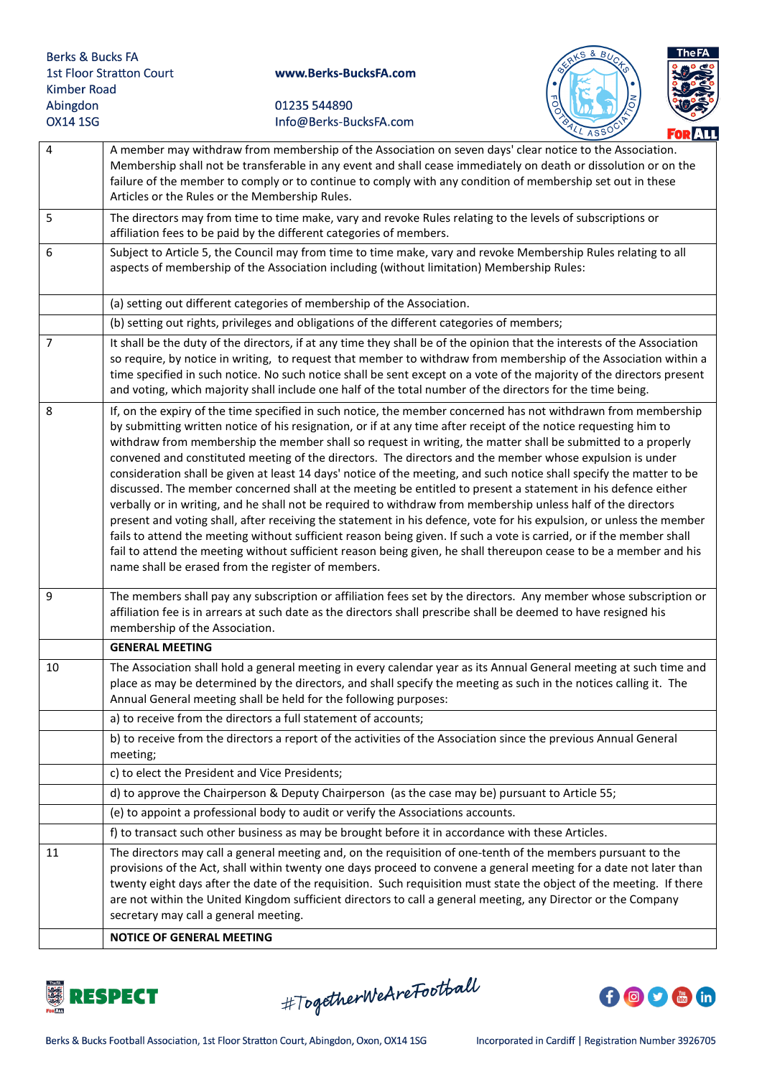



|    | LL ASSY<br><b>FORALL</b>                                                                                                                                                                                                                                                                                                                                                                                                                                                                                                                                                                                                                                                                                                                                                                                                                                                                                                                                                                                                                                                                                                                                                                                                                            |
|----|-----------------------------------------------------------------------------------------------------------------------------------------------------------------------------------------------------------------------------------------------------------------------------------------------------------------------------------------------------------------------------------------------------------------------------------------------------------------------------------------------------------------------------------------------------------------------------------------------------------------------------------------------------------------------------------------------------------------------------------------------------------------------------------------------------------------------------------------------------------------------------------------------------------------------------------------------------------------------------------------------------------------------------------------------------------------------------------------------------------------------------------------------------------------------------------------------------------------------------------------------------|
| 4  | A member may withdraw from membership of the Association on seven days' clear notice to the Association.<br>Membership shall not be transferable in any event and shall cease immediately on death or dissolution or on the<br>failure of the member to comply or to continue to comply with any condition of membership set out in these<br>Articles or the Rules or the Membership Rules.                                                                                                                                                                                                                                                                                                                                                                                                                                                                                                                                                                                                                                                                                                                                                                                                                                                         |
| 5  | The directors may from time to time make, vary and revoke Rules relating to the levels of subscriptions or<br>affiliation fees to be paid by the different categories of members.                                                                                                                                                                                                                                                                                                                                                                                                                                                                                                                                                                                                                                                                                                                                                                                                                                                                                                                                                                                                                                                                   |
| 6  | Subject to Article 5, the Council may from time to time make, vary and revoke Membership Rules relating to all<br>aspects of membership of the Association including (without limitation) Membership Rules:                                                                                                                                                                                                                                                                                                                                                                                                                                                                                                                                                                                                                                                                                                                                                                                                                                                                                                                                                                                                                                         |
|    | (a) setting out different categories of membership of the Association.                                                                                                                                                                                                                                                                                                                                                                                                                                                                                                                                                                                                                                                                                                                                                                                                                                                                                                                                                                                                                                                                                                                                                                              |
|    | (b) setting out rights, privileges and obligations of the different categories of members;                                                                                                                                                                                                                                                                                                                                                                                                                                                                                                                                                                                                                                                                                                                                                                                                                                                                                                                                                                                                                                                                                                                                                          |
| 7  | It shall be the duty of the directors, if at any time they shall be of the opinion that the interests of the Association<br>so require, by notice in writing, to request that member to withdraw from membership of the Association within a<br>time specified in such notice. No such notice shall be sent except on a vote of the majority of the directors present<br>and voting, which majority shall include one half of the total number of the directors for the time being.                                                                                                                                                                                                                                                                                                                                                                                                                                                                                                                                                                                                                                                                                                                                                                 |
| 8  | If, on the expiry of the time specified in such notice, the member concerned has not withdrawn from membership<br>by submitting written notice of his resignation, or if at any time after receipt of the notice requesting him to<br>withdraw from membership the member shall so request in writing, the matter shall be submitted to a properly<br>convened and constituted meeting of the directors. The directors and the member whose expulsion is under<br>consideration shall be given at least 14 days' notice of the meeting, and such notice shall specify the matter to be<br>discussed. The member concerned shall at the meeting be entitled to present a statement in his defence either<br>verbally or in writing, and he shall not be required to withdraw from membership unless half of the directors<br>present and voting shall, after receiving the statement in his defence, vote for his expulsion, or unless the member<br>fails to attend the meeting without sufficient reason being given. If such a vote is carried, or if the member shall<br>fail to attend the meeting without sufficient reason being given, he shall thereupon cease to be a member and his<br>name shall be erased from the register of members. |
| 9  | The members shall pay any subscription or affiliation fees set by the directors. Any member whose subscription or<br>affiliation fee is in arrears at such date as the directors shall prescribe shall be deemed to have resigned his<br>membership of the Association.                                                                                                                                                                                                                                                                                                                                                                                                                                                                                                                                                                                                                                                                                                                                                                                                                                                                                                                                                                             |
|    | <b>GENERAL MEETING</b>                                                                                                                                                                                                                                                                                                                                                                                                                                                                                                                                                                                                                                                                                                                                                                                                                                                                                                                                                                                                                                                                                                                                                                                                                              |
| 10 | The Association shall hold a general meeting in every calendar year as its Annual General meeting at such time and<br>place as may be determined by the directors, and shall specify the meeting as such in the notices calling it. The<br>Annual General meeting shall be held for the following purposes:                                                                                                                                                                                                                                                                                                                                                                                                                                                                                                                                                                                                                                                                                                                                                                                                                                                                                                                                         |
|    | a) to receive from the directors a full statement of accounts;                                                                                                                                                                                                                                                                                                                                                                                                                                                                                                                                                                                                                                                                                                                                                                                                                                                                                                                                                                                                                                                                                                                                                                                      |
|    | b) to receive from the directors a report of the activities of the Association since the previous Annual General<br>meeting;                                                                                                                                                                                                                                                                                                                                                                                                                                                                                                                                                                                                                                                                                                                                                                                                                                                                                                                                                                                                                                                                                                                        |
|    | c) to elect the President and Vice Presidents;                                                                                                                                                                                                                                                                                                                                                                                                                                                                                                                                                                                                                                                                                                                                                                                                                                                                                                                                                                                                                                                                                                                                                                                                      |
|    | d) to approve the Chairperson & Deputy Chairperson (as the case may be) pursuant to Article 55;                                                                                                                                                                                                                                                                                                                                                                                                                                                                                                                                                                                                                                                                                                                                                                                                                                                                                                                                                                                                                                                                                                                                                     |
|    | (e) to appoint a professional body to audit or verify the Associations accounts.                                                                                                                                                                                                                                                                                                                                                                                                                                                                                                                                                                                                                                                                                                                                                                                                                                                                                                                                                                                                                                                                                                                                                                    |
|    | f) to transact such other business as may be brought before it in accordance with these Articles.                                                                                                                                                                                                                                                                                                                                                                                                                                                                                                                                                                                                                                                                                                                                                                                                                                                                                                                                                                                                                                                                                                                                                   |
| 11 | The directors may call a general meeting and, on the requisition of one-tenth of the members pursuant to the<br>provisions of the Act, shall within twenty one days proceed to convene a general meeting for a date not later than<br>twenty eight days after the date of the requisition. Such requisition must state the object of the meeting. If there<br>are not within the United Kingdom sufficient directors to call a general meeting, any Director or the Company<br>secretary may call a general meeting.                                                                                                                                                                                                                                                                                                                                                                                                                                                                                                                                                                                                                                                                                                                                |
|    | <b>NOTICE OF GENERAL MEETING</b>                                                                                                                                                                                                                                                                                                                                                                                                                                                                                                                                                                                                                                                                                                                                                                                                                                                                                                                                                                                                                                                                                                                                                                                                                    |



#TogetherWeAreFootball

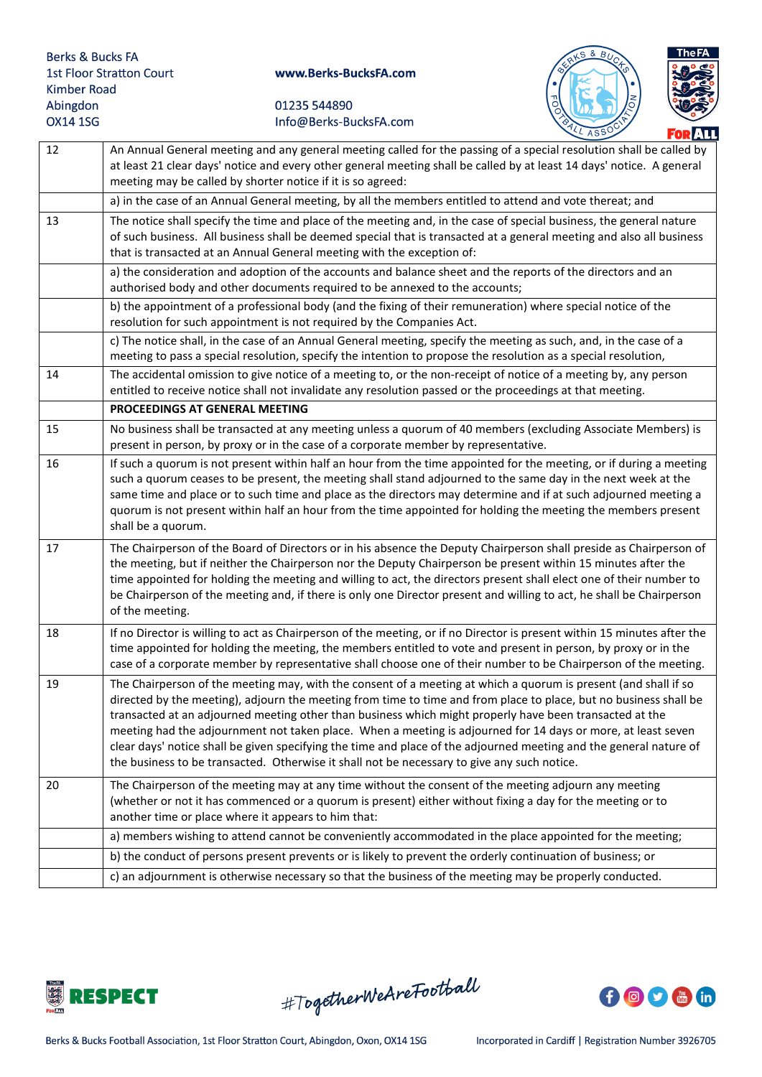



|    | <u> Furtill</u>                                                                                                                                                                                                                                                                                                                                                                                                                                                                                                                                                                                                                                                                      |
|----|--------------------------------------------------------------------------------------------------------------------------------------------------------------------------------------------------------------------------------------------------------------------------------------------------------------------------------------------------------------------------------------------------------------------------------------------------------------------------------------------------------------------------------------------------------------------------------------------------------------------------------------------------------------------------------------|
| 12 | An Annual General meeting and any general meeting called for the passing of a special resolution shall be called by<br>at least 21 clear days' notice and every other general meeting shall be called by at least 14 days' notice. A general<br>meeting may be called by shorter notice if it is so agreed:                                                                                                                                                                                                                                                                                                                                                                          |
|    | a) in the case of an Annual General meeting, by all the members entitled to attend and vote thereat; and                                                                                                                                                                                                                                                                                                                                                                                                                                                                                                                                                                             |
| 13 | The notice shall specify the time and place of the meeting and, in the case of special business, the general nature<br>of such business. All business shall be deemed special that is transacted at a general meeting and also all business<br>that is transacted at an Annual General meeting with the exception of:                                                                                                                                                                                                                                                                                                                                                                |
|    | a) the consideration and adoption of the accounts and balance sheet and the reports of the directors and an<br>authorised body and other documents required to be annexed to the accounts;                                                                                                                                                                                                                                                                                                                                                                                                                                                                                           |
|    | b) the appointment of a professional body (and the fixing of their remuneration) where special notice of the<br>resolution for such appointment is not required by the Companies Act.                                                                                                                                                                                                                                                                                                                                                                                                                                                                                                |
|    | c) The notice shall, in the case of an Annual General meeting, specify the meeting as such, and, in the case of a<br>meeting to pass a special resolution, specify the intention to propose the resolution as a special resolution,                                                                                                                                                                                                                                                                                                                                                                                                                                                  |
| 14 | The accidental omission to give notice of a meeting to, or the non-receipt of notice of a meeting by, any person<br>entitled to receive notice shall not invalidate any resolution passed or the proceedings at that meeting.                                                                                                                                                                                                                                                                                                                                                                                                                                                        |
|    | PROCEEDINGS AT GENERAL MEETING                                                                                                                                                                                                                                                                                                                                                                                                                                                                                                                                                                                                                                                       |
| 15 | No business shall be transacted at any meeting unless a quorum of 40 members (excluding Associate Members) is<br>present in person, by proxy or in the case of a corporate member by representative.                                                                                                                                                                                                                                                                                                                                                                                                                                                                                 |
| 16 | If such a quorum is not present within half an hour from the time appointed for the meeting, or if during a meeting<br>such a quorum ceases to be present, the meeting shall stand adjourned to the same day in the next week at the<br>same time and place or to such time and place as the directors may determine and if at such adjourned meeting a<br>quorum is not present within half an hour from the time appointed for holding the meeting the members present<br>shall be a quorum.                                                                                                                                                                                       |
| 17 | The Chairperson of the Board of Directors or in his absence the Deputy Chairperson shall preside as Chairperson of<br>the meeting, but if neither the Chairperson nor the Deputy Chairperson be present within 15 minutes after the<br>time appointed for holding the meeting and willing to act, the directors present shall elect one of their number to<br>be Chairperson of the meeting and, if there is only one Director present and willing to act, he shall be Chairperson<br>of the meeting.                                                                                                                                                                                |
| 18 | If no Director is willing to act as Chairperson of the meeting, or if no Director is present within 15 minutes after the<br>time appointed for holding the meeting, the members entitled to vote and present in person, by proxy or in the<br>case of a corporate member by representative shall choose one of their number to be Chairperson of the meeting.                                                                                                                                                                                                                                                                                                                        |
| 19 | The Chairperson of the meeting may, with the consent of a meeting at which a quorum is present (and shall if so<br>directed by the meeting), adjourn the meeting from time to time and from place to place, but no business shall be<br>transacted at an adjourned meeting other than business which might properly have been transacted at the<br>meeting had the adjournment not taken place. When a meeting is adjourned for 14 days or more, at least seven<br>clear days' notice shall be given specifying the time and place of the adjourned meeting and the general nature of<br>the business to be transacted. Otherwise it shall not be necessary to give any such notice. |
| 20 | The Chairperson of the meeting may at any time without the consent of the meeting adjourn any meeting<br>(whether or not it has commenced or a quorum is present) either without fixing a day for the meeting or to<br>another time or place where it appears to him that:                                                                                                                                                                                                                                                                                                                                                                                                           |
|    | a) members wishing to attend cannot be conveniently accommodated in the place appointed for the meeting;                                                                                                                                                                                                                                                                                                                                                                                                                                                                                                                                                                             |
|    | b) the conduct of persons present prevents or is likely to prevent the orderly continuation of business; or                                                                                                                                                                                                                                                                                                                                                                                                                                                                                                                                                                          |
|    | c) an adjournment is otherwise necessary so that the business of the meeting may be properly conducted.                                                                                                                                                                                                                                                                                                                                                                                                                                                                                                                                                                              |



#TogetherWeAreFootball

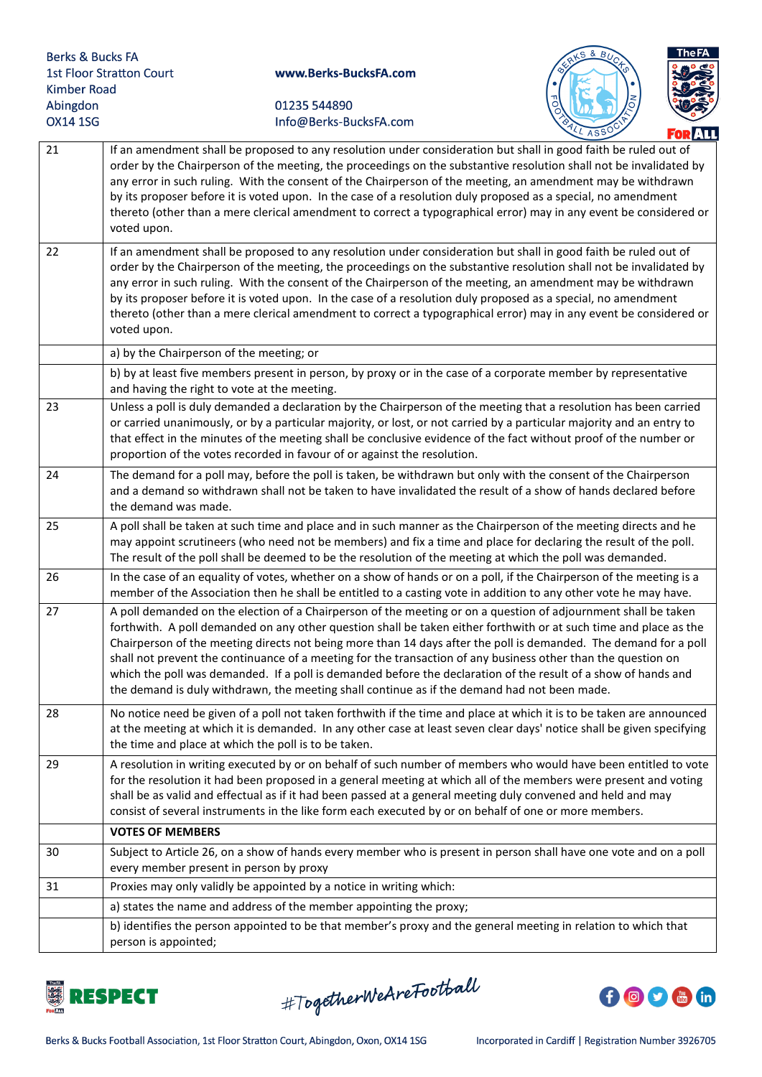



|    | LL ASSY<br>FOR ALL                                                                                                                                                                                                                                                                                                                                                                                                                                                                                                                                                                                                                                                                         |
|----|--------------------------------------------------------------------------------------------------------------------------------------------------------------------------------------------------------------------------------------------------------------------------------------------------------------------------------------------------------------------------------------------------------------------------------------------------------------------------------------------------------------------------------------------------------------------------------------------------------------------------------------------------------------------------------------------|
| 21 | If an amendment shall be proposed to any resolution under consideration but shall in good faith be ruled out of<br>order by the Chairperson of the meeting, the proceedings on the substantive resolution shall not be invalidated by<br>any error in such ruling. With the consent of the Chairperson of the meeting, an amendment may be withdrawn<br>by its proposer before it is voted upon. In the case of a resolution duly proposed as a special, no amendment<br>thereto (other than a mere clerical amendment to correct a typographical error) may in any event be considered or<br>voted upon.                                                                                  |
| 22 | If an amendment shall be proposed to any resolution under consideration but shall in good faith be ruled out of<br>order by the Chairperson of the meeting, the proceedings on the substantive resolution shall not be invalidated by<br>any error in such ruling. With the consent of the Chairperson of the meeting, an amendment may be withdrawn<br>by its proposer before it is voted upon. In the case of a resolution duly proposed as a special, no amendment<br>thereto (other than a mere clerical amendment to correct a typographical error) may in any event be considered or<br>voted upon.                                                                                  |
|    | a) by the Chairperson of the meeting; or                                                                                                                                                                                                                                                                                                                                                                                                                                                                                                                                                                                                                                                   |
|    | b) by at least five members present in person, by proxy or in the case of a corporate member by representative<br>and having the right to vote at the meeting.                                                                                                                                                                                                                                                                                                                                                                                                                                                                                                                             |
| 23 | Unless a poll is duly demanded a declaration by the Chairperson of the meeting that a resolution has been carried<br>or carried unanimously, or by a particular majority, or lost, or not carried by a particular majority and an entry to<br>that effect in the minutes of the meeting shall be conclusive evidence of the fact without proof of the number or<br>proportion of the votes recorded in favour of or against the resolution.                                                                                                                                                                                                                                                |
| 24 | The demand for a poll may, before the poll is taken, be withdrawn but only with the consent of the Chairperson<br>and a demand so withdrawn shall not be taken to have invalidated the result of a show of hands declared before<br>the demand was made.                                                                                                                                                                                                                                                                                                                                                                                                                                   |
| 25 | A poll shall be taken at such time and place and in such manner as the Chairperson of the meeting directs and he<br>may appoint scrutineers (who need not be members) and fix a time and place for declaring the result of the poll.<br>The result of the poll shall be deemed to be the resolution of the meeting at which the poll was demanded.                                                                                                                                                                                                                                                                                                                                         |
| 26 | In the case of an equality of votes, whether on a show of hands or on a poll, if the Chairperson of the meeting is a<br>member of the Association then he shall be entitled to a casting vote in addition to any other vote he may have.                                                                                                                                                                                                                                                                                                                                                                                                                                                   |
| 27 | A poll demanded on the election of a Chairperson of the meeting or on a question of adjournment shall be taken<br>forthwith. A poll demanded on any other question shall be taken either forthwith or at such time and place as the<br>Chairperson of the meeting directs not being more than 14 days after the poll is demanded. The demand for a poll<br>shall not prevent the continuance of a meeting for the transaction of any business other than the question on<br>which the poll was demanded. If a poll is demanded before the declaration of the result of a show of hands and<br>the demand is duly withdrawn, the meeting shall continue as if the demand had not been made. |
| 28 | No notice need be given of a poll not taken forthwith if the time and place at which it is to be taken are announced<br>at the meeting at which it is demanded. In any other case at least seven clear days' notice shall be given specifying<br>the time and place at which the poll is to be taken.                                                                                                                                                                                                                                                                                                                                                                                      |
| 29 | A resolution in writing executed by or on behalf of such number of members who would have been entitled to vote<br>for the resolution it had been proposed in a general meeting at which all of the members were present and voting<br>shall be as valid and effectual as if it had been passed at a general meeting duly convened and held and may<br>consist of several instruments in the like form each executed by or on behalf of one or more members.                                                                                                                                                                                                                               |
|    | <b>VOTES OF MEMBERS</b>                                                                                                                                                                                                                                                                                                                                                                                                                                                                                                                                                                                                                                                                    |
| 30 | Subject to Article 26, on a show of hands every member who is present in person shall have one vote and on a poll<br>every member present in person by proxy                                                                                                                                                                                                                                                                                                                                                                                                                                                                                                                               |
| 31 | Proxies may only validly be appointed by a notice in writing which:                                                                                                                                                                                                                                                                                                                                                                                                                                                                                                                                                                                                                        |
|    | a) states the name and address of the member appointing the proxy;                                                                                                                                                                                                                                                                                                                                                                                                                                                                                                                                                                                                                         |
|    | b) identifies the person appointed to be that member's proxy and the general meeting in relation to which that<br>person is appointed;                                                                                                                                                                                                                                                                                                                                                                                                                                                                                                                                                     |



#TogetherWeAreFootball

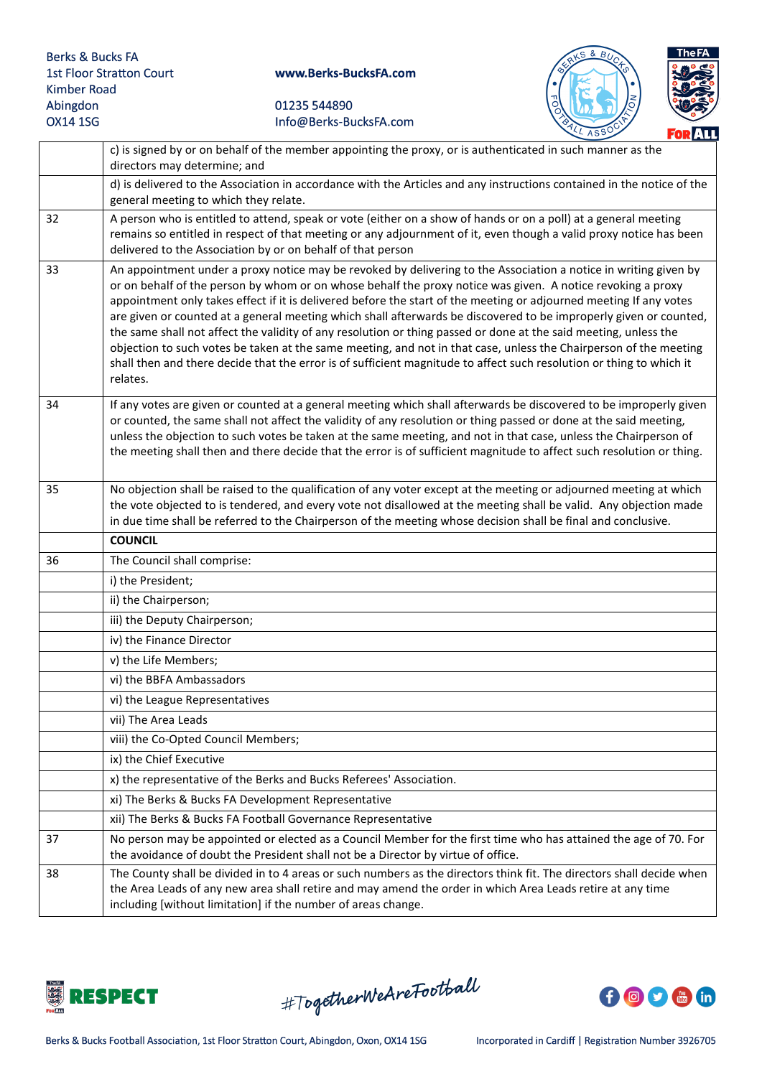



|    | c) is signed by or on behalf of the member appointing the proxy, or is authenticated in such manner as the<br>directors may determine; and                                                                                                                                                                                                                                                                                                                                                                                                                                                                                                                                                                                                                                                                                                              |
|----|---------------------------------------------------------------------------------------------------------------------------------------------------------------------------------------------------------------------------------------------------------------------------------------------------------------------------------------------------------------------------------------------------------------------------------------------------------------------------------------------------------------------------------------------------------------------------------------------------------------------------------------------------------------------------------------------------------------------------------------------------------------------------------------------------------------------------------------------------------|
|    | d) is delivered to the Association in accordance with the Articles and any instructions contained in the notice of the<br>general meeting to which they relate.                                                                                                                                                                                                                                                                                                                                                                                                                                                                                                                                                                                                                                                                                         |
| 32 | A person who is entitled to attend, speak or vote (either on a show of hands or on a poll) at a general meeting<br>remains so entitled in respect of that meeting or any adjournment of it, even though a valid proxy notice has been<br>delivered to the Association by or on behalf of that person                                                                                                                                                                                                                                                                                                                                                                                                                                                                                                                                                    |
| 33 | An appointment under a proxy notice may be revoked by delivering to the Association a notice in writing given by<br>or on behalf of the person by whom or on whose behalf the proxy notice was given. A notice revoking a proxy<br>appointment only takes effect if it is delivered before the start of the meeting or adjourned meeting If any votes<br>are given or counted at a general meeting which shall afterwards be discovered to be improperly given or counted,<br>the same shall not affect the validity of any resolution or thing passed or done at the said meeting, unless the<br>objection to such votes be taken at the same meeting, and not in that case, unless the Chairperson of the meeting<br>shall then and there decide that the error is of sufficient magnitude to affect such resolution or thing to which it<br>relates. |
| 34 | If any votes are given or counted at a general meeting which shall afterwards be discovered to be improperly given<br>or counted, the same shall not affect the validity of any resolution or thing passed or done at the said meeting,<br>unless the objection to such votes be taken at the same meeting, and not in that case, unless the Chairperson of<br>the meeting shall then and there decide that the error is of sufficient magnitude to affect such resolution or thing.                                                                                                                                                                                                                                                                                                                                                                    |
| 35 | No objection shall be raised to the qualification of any voter except at the meeting or adjourned meeting at which<br>the vote objected to is tendered, and every vote not disallowed at the meeting shall be valid. Any objection made<br>in due time shall be referred to the Chairperson of the meeting whose decision shall be final and conclusive.                                                                                                                                                                                                                                                                                                                                                                                                                                                                                                |
|    | <b>COUNCIL</b>                                                                                                                                                                                                                                                                                                                                                                                                                                                                                                                                                                                                                                                                                                                                                                                                                                          |
| 36 | The Council shall comprise:                                                                                                                                                                                                                                                                                                                                                                                                                                                                                                                                                                                                                                                                                                                                                                                                                             |
|    | i) the President;                                                                                                                                                                                                                                                                                                                                                                                                                                                                                                                                                                                                                                                                                                                                                                                                                                       |
|    | ii) the Chairperson;                                                                                                                                                                                                                                                                                                                                                                                                                                                                                                                                                                                                                                                                                                                                                                                                                                    |
|    | iii) the Deputy Chairperson;                                                                                                                                                                                                                                                                                                                                                                                                                                                                                                                                                                                                                                                                                                                                                                                                                            |
|    | iv) the Finance Director                                                                                                                                                                                                                                                                                                                                                                                                                                                                                                                                                                                                                                                                                                                                                                                                                                |
|    |                                                                                                                                                                                                                                                                                                                                                                                                                                                                                                                                                                                                                                                                                                                                                                                                                                                         |
|    | v) the Life Members;                                                                                                                                                                                                                                                                                                                                                                                                                                                                                                                                                                                                                                                                                                                                                                                                                                    |
|    | vi) the BBFA Ambassadors                                                                                                                                                                                                                                                                                                                                                                                                                                                                                                                                                                                                                                                                                                                                                                                                                                |
|    | vi) the League Representatives                                                                                                                                                                                                                                                                                                                                                                                                                                                                                                                                                                                                                                                                                                                                                                                                                          |
|    | vii) The Area Leads                                                                                                                                                                                                                                                                                                                                                                                                                                                                                                                                                                                                                                                                                                                                                                                                                                     |
|    | viii) the Co-Opted Council Members;                                                                                                                                                                                                                                                                                                                                                                                                                                                                                                                                                                                                                                                                                                                                                                                                                     |
|    | ix) the Chief Executive                                                                                                                                                                                                                                                                                                                                                                                                                                                                                                                                                                                                                                                                                                                                                                                                                                 |
|    | x) the representative of the Berks and Bucks Referees' Association.                                                                                                                                                                                                                                                                                                                                                                                                                                                                                                                                                                                                                                                                                                                                                                                     |
|    | xi) The Berks & Bucks FA Development Representative                                                                                                                                                                                                                                                                                                                                                                                                                                                                                                                                                                                                                                                                                                                                                                                                     |
|    | xii) The Berks & Bucks FA Football Governance Representative                                                                                                                                                                                                                                                                                                                                                                                                                                                                                                                                                                                                                                                                                                                                                                                            |
| 37 | No person may be appointed or elected as a Council Member for the first time who has attained the age of 70. For<br>the avoidance of doubt the President shall not be a Director by virtue of office.                                                                                                                                                                                                                                                                                                                                                                                                                                                                                                                                                                                                                                                   |



#TogetherWeAreFootball

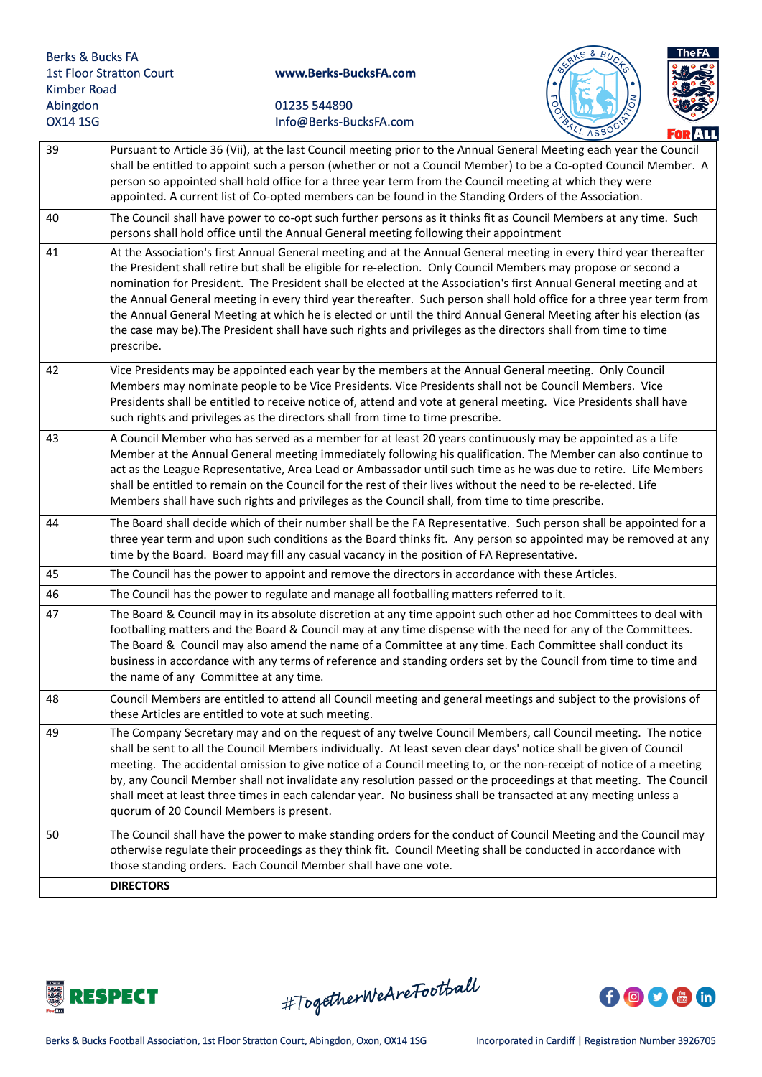

| 39 | Pursuant to Article 36 (Vii), at the last Council meeting prior to the Annual General Meeting each year the Council<br>shall be entitled to appoint such a person (whether or not a Council Member) to be a Co-opted Council Member. A<br>person so appointed shall hold office for a three year term from the Council meeting at which they were<br>appointed. A current list of Co-opted members can be found in the Standing Orders of the Association.                                                                                                                                                                                                                                                                             |
|----|----------------------------------------------------------------------------------------------------------------------------------------------------------------------------------------------------------------------------------------------------------------------------------------------------------------------------------------------------------------------------------------------------------------------------------------------------------------------------------------------------------------------------------------------------------------------------------------------------------------------------------------------------------------------------------------------------------------------------------------|
| 40 | The Council shall have power to co-opt such further persons as it thinks fit as Council Members at any time. Such<br>persons shall hold office until the Annual General meeting following their appointment                                                                                                                                                                                                                                                                                                                                                                                                                                                                                                                            |
| 41 | At the Association's first Annual General meeting and at the Annual General meeting in every third year thereafter<br>the President shall retire but shall be eligible for re-election. Only Council Members may propose or second a<br>nomination for President. The President shall be elected at the Association's first Annual General meeting and at<br>the Annual General meeting in every third year thereafter. Such person shall hold office for a three year term from<br>the Annual General Meeting at which he is elected or until the third Annual General Meeting after his election (as<br>the case may be). The President shall have such rights and privileges as the directors shall from time to time<br>prescribe. |
| 42 | Vice Presidents may be appointed each year by the members at the Annual General meeting. Only Council<br>Members may nominate people to be Vice Presidents. Vice Presidents shall not be Council Members. Vice<br>Presidents shall be entitled to receive notice of, attend and vote at general meeting. Vice Presidents shall have<br>such rights and privileges as the directors shall from time to time prescribe.                                                                                                                                                                                                                                                                                                                  |
| 43 | A Council Member who has served as a member for at least 20 years continuously may be appointed as a Life<br>Member at the Annual General meeting immediately following his qualification. The Member can also continue to<br>act as the League Representative, Area Lead or Ambassador until such time as he was due to retire. Life Members<br>shall be entitled to remain on the Council for the rest of their lives without the need to be re-elected. Life<br>Members shall have such rights and privileges as the Council shall, from time to time prescribe.                                                                                                                                                                    |
| 44 | The Board shall decide which of their number shall be the FA Representative. Such person shall be appointed for a<br>three year term and upon such conditions as the Board thinks fit. Any person so appointed may be removed at any<br>time by the Board. Board may fill any casual vacancy in the position of FA Representative.                                                                                                                                                                                                                                                                                                                                                                                                     |
| 45 | The Council has the power to appoint and remove the directors in accordance with these Articles.                                                                                                                                                                                                                                                                                                                                                                                                                                                                                                                                                                                                                                       |
| 46 | The Council has the power to regulate and manage all footballing matters referred to it.                                                                                                                                                                                                                                                                                                                                                                                                                                                                                                                                                                                                                                               |
| 47 | The Board & Council may in its absolute discretion at any time appoint such other ad hoc Committees to deal with<br>footballing matters and the Board & Council may at any time dispense with the need for any of the Committees.<br>The Board & Council may also amend the name of a Committee at any time. Each Committee shall conduct its<br>business in accordance with any terms of reference and standing orders set by the Council from time to time and<br>the name of any Committee at any time.                                                                                                                                                                                                                             |
| 48 | Council Members are entitled to attend all Council meeting and general meetings and subject to the provisions of<br>these Articles are entitled to vote at such meeting.                                                                                                                                                                                                                                                                                                                                                                                                                                                                                                                                                               |
| 49 | The Company Secretary may and on the request of any twelve Council Members, call Council meeting. The notice<br>shall be sent to all the Council Members individually. At least seven clear days' notice shall be given of Council<br>meeting. The accidental omission to give notice of a Council meeting to, or the non-receipt of notice of a meeting<br>by, any Council Member shall not invalidate any resolution passed or the proceedings at that meeting. The Council<br>shall meet at least three times in each calendar year. No business shall be transacted at any meeting unless a<br>quorum of 20 Council Members is present.                                                                                            |
| 50 | The Council shall have the power to make standing orders for the conduct of Council Meeting and the Council may<br>otherwise regulate their proceedings as they think fit. Council Meeting shall be conducted in accordance with<br>those standing orders. Each Council Member shall have one vote.                                                                                                                                                                                                                                                                                                                                                                                                                                    |
|    | <b>DIRECTORS</b>                                                                                                                                                                                                                                                                                                                                                                                                                                                                                                                                                                                                                                                                                                                       |



#TogetherWeAreFootball

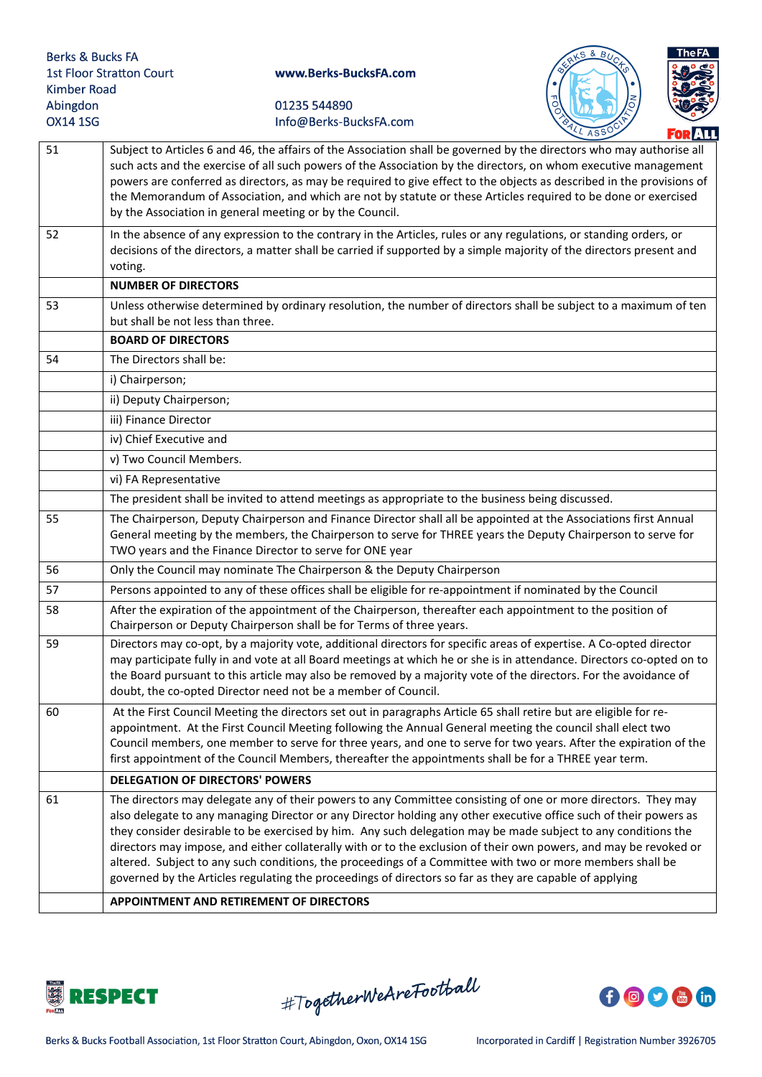



|    | <b>FOR ATT</b>                                                                                                                                                                                                                                                                                                                                                                                                                                                                                                                                                                                                                                                                                   |
|----|--------------------------------------------------------------------------------------------------------------------------------------------------------------------------------------------------------------------------------------------------------------------------------------------------------------------------------------------------------------------------------------------------------------------------------------------------------------------------------------------------------------------------------------------------------------------------------------------------------------------------------------------------------------------------------------------------|
| 51 | Subject to Articles 6 and 46, the affairs of the Association shall be governed by the directors who may authorise all<br>such acts and the exercise of all such powers of the Association by the directors, on whom executive management<br>powers are conferred as directors, as may be required to give effect to the objects as described in the provisions of<br>the Memorandum of Association, and which are not by statute or these Articles required to be done or exercised<br>by the Association in general meeting or by the Council.                                                                                                                                                  |
| 52 | In the absence of any expression to the contrary in the Articles, rules or any regulations, or standing orders, or<br>decisions of the directors, a matter shall be carried if supported by a simple majority of the directors present and<br>voting.                                                                                                                                                                                                                                                                                                                                                                                                                                            |
|    | <b>NUMBER OF DIRECTORS</b>                                                                                                                                                                                                                                                                                                                                                                                                                                                                                                                                                                                                                                                                       |
| 53 | Unless otherwise determined by ordinary resolution, the number of directors shall be subject to a maximum of ten<br>but shall be not less than three.                                                                                                                                                                                                                                                                                                                                                                                                                                                                                                                                            |
|    | <b>BOARD OF DIRECTORS</b>                                                                                                                                                                                                                                                                                                                                                                                                                                                                                                                                                                                                                                                                        |
| 54 | The Directors shall be:                                                                                                                                                                                                                                                                                                                                                                                                                                                                                                                                                                                                                                                                          |
|    | i) Chairperson;                                                                                                                                                                                                                                                                                                                                                                                                                                                                                                                                                                                                                                                                                  |
|    | ii) Deputy Chairperson;                                                                                                                                                                                                                                                                                                                                                                                                                                                                                                                                                                                                                                                                          |
|    | iii) Finance Director                                                                                                                                                                                                                                                                                                                                                                                                                                                                                                                                                                                                                                                                            |
|    | iv) Chief Executive and                                                                                                                                                                                                                                                                                                                                                                                                                                                                                                                                                                                                                                                                          |
|    | v) Two Council Members.                                                                                                                                                                                                                                                                                                                                                                                                                                                                                                                                                                                                                                                                          |
|    | vi) FA Representative                                                                                                                                                                                                                                                                                                                                                                                                                                                                                                                                                                                                                                                                            |
|    | The president shall be invited to attend meetings as appropriate to the business being discussed.                                                                                                                                                                                                                                                                                                                                                                                                                                                                                                                                                                                                |
| 55 | The Chairperson, Deputy Chairperson and Finance Director shall all be appointed at the Associations first Annual<br>General meeting by the members, the Chairperson to serve for THREE years the Deputy Chairperson to serve for<br>TWO years and the Finance Director to serve for ONE year                                                                                                                                                                                                                                                                                                                                                                                                     |
| 56 | Only the Council may nominate The Chairperson & the Deputy Chairperson                                                                                                                                                                                                                                                                                                                                                                                                                                                                                                                                                                                                                           |
| 57 | Persons appointed to any of these offices shall be eligible for re-appointment if nominated by the Council                                                                                                                                                                                                                                                                                                                                                                                                                                                                                                                                                                                       |
| 58 | After the expiration of the appointment of the Chairperson, thereafter each appointment to the position of<br>Chairperson or Deputy Chairperson shall be for Terms of three years.                                                                                                                                                                                                                                                                                                                                                                                                                                                                                                               |
| 59 | Directors may co-opt, by a majority vote, additional directors for specific areas of expertise. A Co-opted director<br>may participate fully in and vote at all Board meetings at which he or she is in attendance. Directors co-opted on to<br>the Board pursuant to this article may also be removed by a majority vote of the directors. For the avoidance of<br>doubt, the co-opted Director need not be a member of Council.                                                                                                                                                                                                                                                                |
| 60 | At the First Council Meeting the directors set out in paragraphs Article 65 shall retire but are eligible for re-<br>appointment. At the First Council Meeting following the Annual General meeting the council shall elect two<br>Council members, one member to serve for three years, and one to serve for two years. After the expiration of the<br>first appointment of the Council Members, thereafter the appointments shall be for a THREE year term.                                                                                                                                                                                                                                    |
|    | <b>DELEGATION OF DIRECTORS' POWERS</b>                                                                                                                                                                                                                                                                                                                                                                                                                                                                                                                                                                                                                                                           |
| 61 | The directors may delegate any of their powers to any Committee consisting of one or more directors. They may<br>also delegate to any managing Director or any Director holding any other executive office such of their powers as<br>they consider desirable to be exercised by him. Any such delegation may be made subject to any conditions the<br>directors may impose, and either collaterally with or to the exclusion of their own powers, and may be revoked or<br>altered. Subject to any such conditions, the proceedings of a Committee with two or more members shall be<br>governed by the Articles regulating the proceedings of directors so far as they are capable of applying |
|    | APPOINTMENT AND RETIREMENT OF DIRECTORS                                                                                                                                                                                                                                                                                                                                                                                                                                                                                                                                                                                                                                                          |



#TogetherWeAreFootball

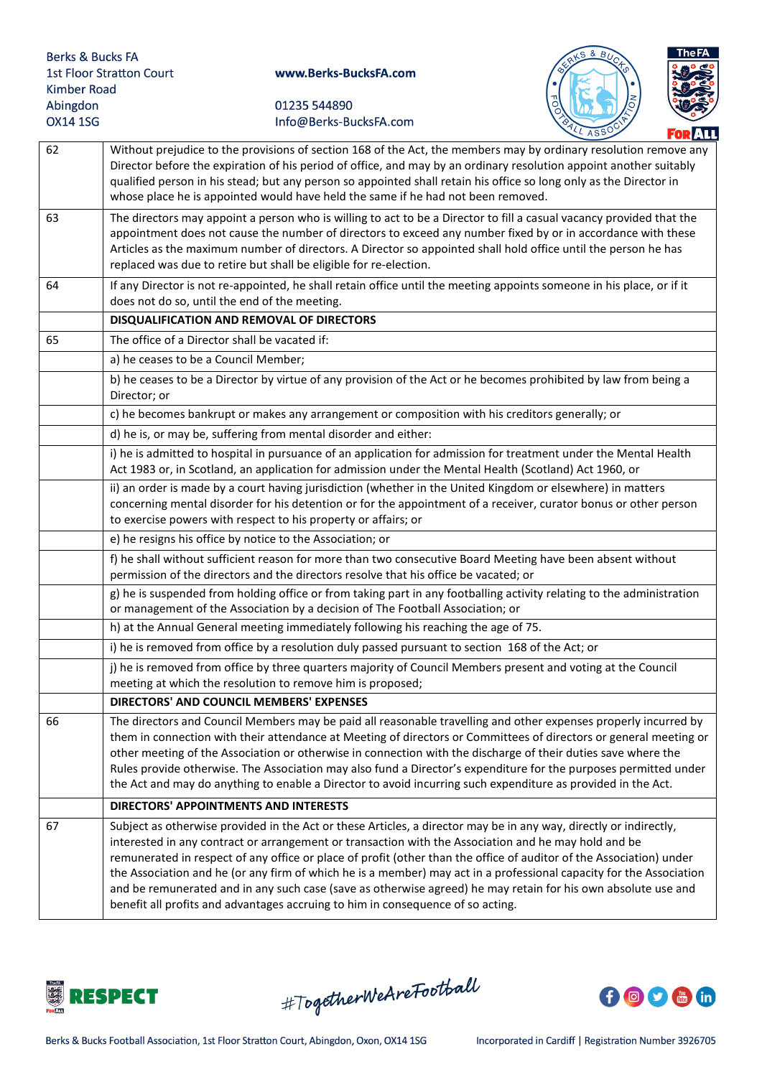



|    | ILL ASSO<br><b>FOR AT</b>                                                                                                                                                                                                                                                                                                                                                                                                                                                                                                                                                                                                                                                   |
|----|-----------------------------------------------------------------------------------------------------------------------------------------------------------------------------------------------------------------------------------------------------------------------------------------------------------------------------------------------------------------------------------------------------------------------------------------------------------------------------------------------------------------------------------------------------------------------------------------------------------------------------------------------------------------------------|
| 62 | Without prejudice to the provisions of section 168 of the Act, the members may by ordinary resolution remove any<br>Director before the expiration of his period of office, and may by an ordinary resolution appoint another suitably<br>qualified person in his stead; but any person so appointed shall retain his office so long only as the Director in<br>whose place he is appointed would have held the same if he had not been removed.                                                                                                                                                                                                                            |
| 63 | The directors may appoint a person who is willing to act to be a Director to fill a casual vacancy provided that the<br>appointment does not cause the number of directors to exceed any number fixed by or in accordance with these<br>Articles as the maximum number of directors. A Director so appointed shall hold office until the person he has<br>replaced was due to retire but shall be eligible for re-election.                                                                                                                                                                                                                                                 |
| 64 | If any Director is not re-appointed, he shall retain office until the meeting appoints someone in his place, or if it<br>does not do so, until the end of the meeting.                                                                                                                                                                                                                                                                                                                                                                                                                                                                                                      |
|    | DISQUALIFICATION AND REMOVAL OF DIRECTORS                                                                                                                                                                                                                                                                                                                                                                                                                                                                                                                                                                                                                                   |
| 65 | The office of a Director shall be vacated if:                                                                                                                                                                                                                                                                                                                                                                                                                                                                                                                                                                                                                               |
|    | a) he ceases to be a Council Member;                                                                                                                                                                                                                                                                                                                                                                                                                                                                                                                                                                                                                                        |
|    | b) he ceases to be a Director by virtue of any provision of the Act or he becomes prohibited by law from being a<br>Director; or                                                                                                                                                                                                                                                                                                                                                                                                                                                                                                                                            |
|    | c) he becomes bankrupt or makes any arrangement or composition with his creditors generally; or                                                                                                                                                                                                                                                                                                                                                                                                                                                                                                                                                                             |
|    | d) he is, or may be, suffering from mental disorder and either:                                                                                                                                                                                                                                                                                                                                                                                                                                                                                                                                                                                                             |
|    | i) he is admitted to hospital in pursuance of an application for admission for treatment under the Mental Health<br>Act 1983 or, in Scotland, an application for admission under the Mental Health (Scotland) Act 1960, or                                                                                                                                                                                                                                                                                                                                                                                                                                                  |
|    | ii) an order is made by a court having jurisdiction (whether in the United Kingdom or elsewhere) in matters<br>concerning mental disorder for his detention or for the appointment of a receiver, curator bonus or other person<br>to exercise powers with respect to his property or affairs; or                                                                                                                                                                                                                                                                                                                                                                           |
|    | e) he resigns his office by notice to the Association; or                                                                                                                                                                                                                                                                                                                                                                                                                                                                                                                                                                                                                   |
|    | f) he shall without sufficient reason for more than two consecutive Board Meeting have been absent without<br>permission of the directors and the directors resolve that his office be vacated; or                                                                                                                                                                                                                                                                                                                                                                                                                                                                          |
|    | g) he is suspended from holding office or from taking part in any footballing activity relating to the administration<br>or management of the Association by a decision of The Football Association; or                                                                                                                                                                                                                                                                                                                                                                                                                                                                     |
|    | h) at the Annual General meeting immediately following his reaching the age of 75.                                                                                                                                                                                                                                                                                                                                                                                                                                                                                                                                                                                          |
|    | i) he is removed from office by a resolution duly passed pursuant to section 168 of the Act; or                                                                                                                                                                                                                                                                                                                                                                                                                                                                                                                                                                             |
|    | j) he is removed from office by three quarters majority of Council Members present and voting at the Council<br>meeting at which the resolution to remove him is proposed;                                                                                                                                                                                                                                                                                                                                                                                                                                                                                                  |
|    | DIRECTORS' AND COUNCIL MEMBERS' EXPENSES                                                                                                                                                                                                                                                                                                                                                                                                                                                                                                                                                                                                                                    |
| 66 | The directors and Council Members may be paid all reasonable travelling and other expenses properly incurred by<br>them in connection with their attendance at Meeting of directors or Committees of directors or general meeting or<br>other meeting of the Association or otherwise in connection with the discharge of their duties save where the<br>Rules provide otherwise. The Association may also fund a Director's expenditure for the purposes permitted under<br>the Act and may do anything to enable a Director to avoid incurring such expenditure as provided in the Act.                                                                                   |
|    | <b>DIRECTORS' APPOINTMENTS AND INTERESTS</b>                                                                                                                                                                                                                                                                                                                                                                                                                                                                                                                                                                                                                                |
| 67 | Subject as otherwise provided in the Act or these Articles, a director may be in any way, directly or indirectly,<br>interested in any contract or arrangement or transaction with the Association and he may hold and be<br>remunerated in respect of any office or place of profit (other than the office of auditor of the Association) under<br>the Association and he (or any firm of which he is a member) may act in a professional capacity for the Association<br>and be remunerated and in any such case (save as otherwise agreed) he may retain for his own absolute use and<br>benefit all profits and advantages accruing to him in consequence of so acting. |



#TogetherWeAreFootball

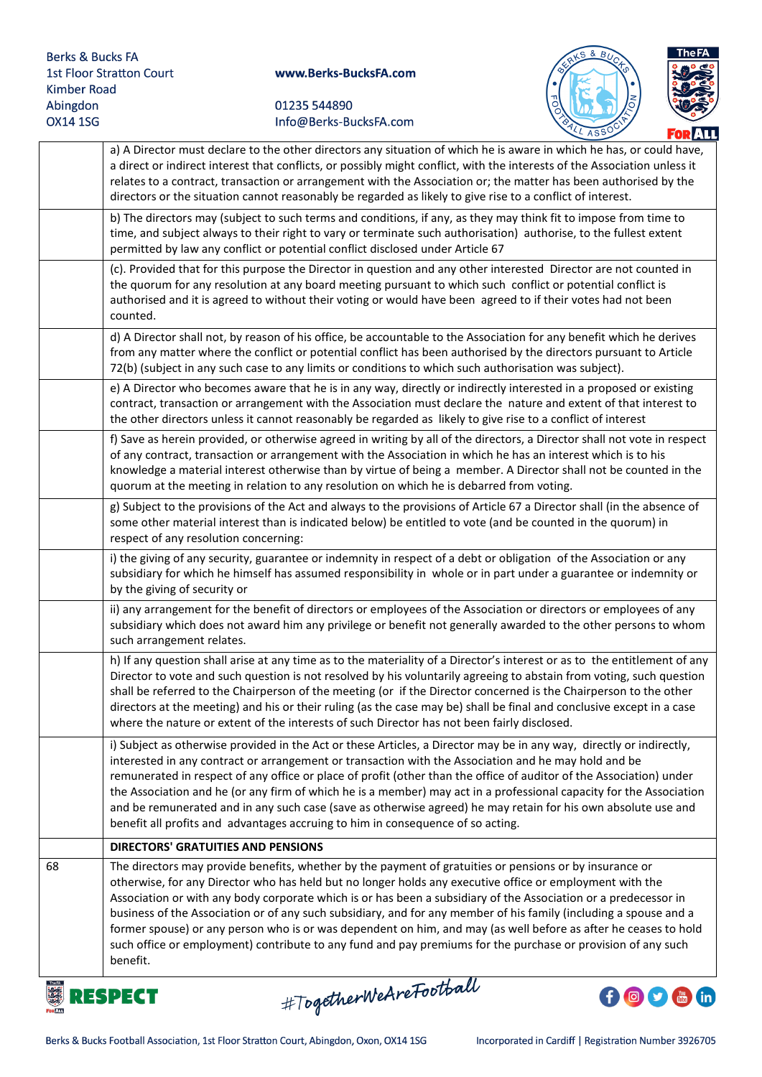



|    | SL ASSS<br>FORALL                                                                                                                                                                                                                                                                                                                                                                                                                                                                                                                                                                                                                                                                                          |
|----|------------------------------------------------------------------------------------------------------------------------------------------------------------------------------------------------------------------------------------------------------------------------------------------------------------------------------------------------------------------------------------------------------------------------------------------------------------------------------------------------------------------------------------------------------------------------------------------------------------------------------------------------------------------------------------------------------------|
|    | a) A Director must declare to the other directors any situation of which he is aware in which he has, or could have,<br>a direct or indirect interest that conflicts, or possibly might conflict, with the interests of the Association unless it<br>relates to a contract, transaction or arrangement with the Association or; the matter has been authorised by the<br>directors or the situation cannot reasonably be regarded as likely to give rise to a conflict of interest.                                                                                                                                                                                                                        |
|    | b) The directors may (subject to such terms and conditions, if any, as they may think fit to impose from time to<br>time, and subject always to their right to vary or terminate such authorisation) authorise, to the fullest extent<br>permitted by law any conflict or potential conflict disclosed under Article 67                                                                                                                                                                                                                                                                                                                                                                                    |
|    | (c). Provided that for this purpose the Director in question and any other interested Director are not counted in<br>the quorum for any resolution at any board meeting pursuant to which such conflict or potential conflict is<br>authorised and it is agreed to without their voting or would have been agreed to if their votes had not been<br>counted.                                                                                                                                                                                                                                                                                                                                               |
|    | d) A Director shall not, by reason of his office, be accountable to the Association for any benefit which he derives<br>from any matter where the conflict or potential conflict has been authorised by the directors pursuant to Article<br>72(b) (subject in any such case to any limits or conditions to which such authorisation was subject).                                                                                                                                                                                                                                                                                                                                                         |
|    | e) A Director who becomes aware that he is in any way, directly or indirectly interested in a proposed or existing<br>contract, transaction or arrangement with the Association must declare the nature and extent of that interest to<br>the other directors unless it cannot reasonably be regarded as likely to give rise to a conflict of interest                                                                                                                                                                                                                                                                                                                                                     |
|    | f) Save as herein provided, or otherwise agreed in writing by all of the directors, a Director shall not vote in respect<br>of any contract, transaction or arrangement with the Association in which he has an interest which is to his<br>knowledge a material interest otherwise than by virtue of being a member. A Director shall not be counted in the<br>quorum at the meeting in relation to any resolution on which he is debarred from voting.                                                                                                                                                                                                                                                   |
|    | g) Subject to the provisions of the Act and always to the provisions of Article 67 a Director shall (in the absence of<br>some other material interest than is indicated below) be entitled to vote (and be counted in the quorum) in<br>respect of any resolution concerning:                                                                                                                                                                                                                                                                                                                                                                                                                             |
|    | i) the giving of any security, guarantee or indemnity in respect of a debt or obligation of the Association or any<br>subsidiary for which he himself has assumed responsibility in whole or in part under a guarantee or indemnity or<br>by the giving of security or                                                                                                                                                                                                                                                                                                                                                                                                                                     |
|    | ii) any arrangement for the benefit of directors or employees of the Association or directors or employees of any<br>subsidiary which does not award him any privilege or benefit not generally awarded to the other persons to whom<br>such arrangement relates.                                                                                                                                                                                                                                                                                                                                                                                                                                          |
|    | h) If any question shall arise at any time as to the materiality of a Director's interest or as to the entitlement of any<br>Director to vote and such question is not resolved by his voluntarily agreeing to abstain from voting, such question<br>shall be referred to the Chairperson of the meeting (or if the Director concerned is the Chairperson to the other<br>directors at the meeting) and his or their ruling (as the case may be) shall be final and conclusive except in a case<br>where the nature or extent of the interests of such Director has not been fairly disclosed.                                                                                                             |
|    | i) Subject as otherwise provided in the Act or these Articles, a Director may be in any way, directly or indirectly,<br>interested in any contract or arrangement or transaction with the Association and he may hold and be<br>remunerated in respect of any office or place of profit (other than the office of auditor of the Association) under<br>the Association and he (or any firm of which he is a member) may act in a professional capacity for the Association<br>and be remunerated and in any such case (save as otherwise agreed) he may retain for his own absolute use and<br>benefit all profits and advantages accruing to him in consequence of so acting.                             |
|    | <b>DIRECTORS' GRATUITIES AND PENSIONS</b>                                                                                                                                                                                                                                                                                                                                                                                                                                                                                                                                                                                                                                                                  |
| 68 | The directors may provide benefits, whether by the payment of gratuities or pensions or by insurance or<br>otherwise, for any Director who has held but no longer holds any executive office or employment with the<br>Association or with any body corporate which is or has been a subsidiary of the Association or a predecessor in<br>business of the Association or of any such subsidiary, and for any member of his family (including a spouse and a<br>former spouse) or any person who is or was dependent on him, and may (as well before as after he ceases to hold<br>such office or employment) contribute to any fund and pay premiums for the purchase or provision of any such<br>benefit. |



#TogetherWeAreFootball

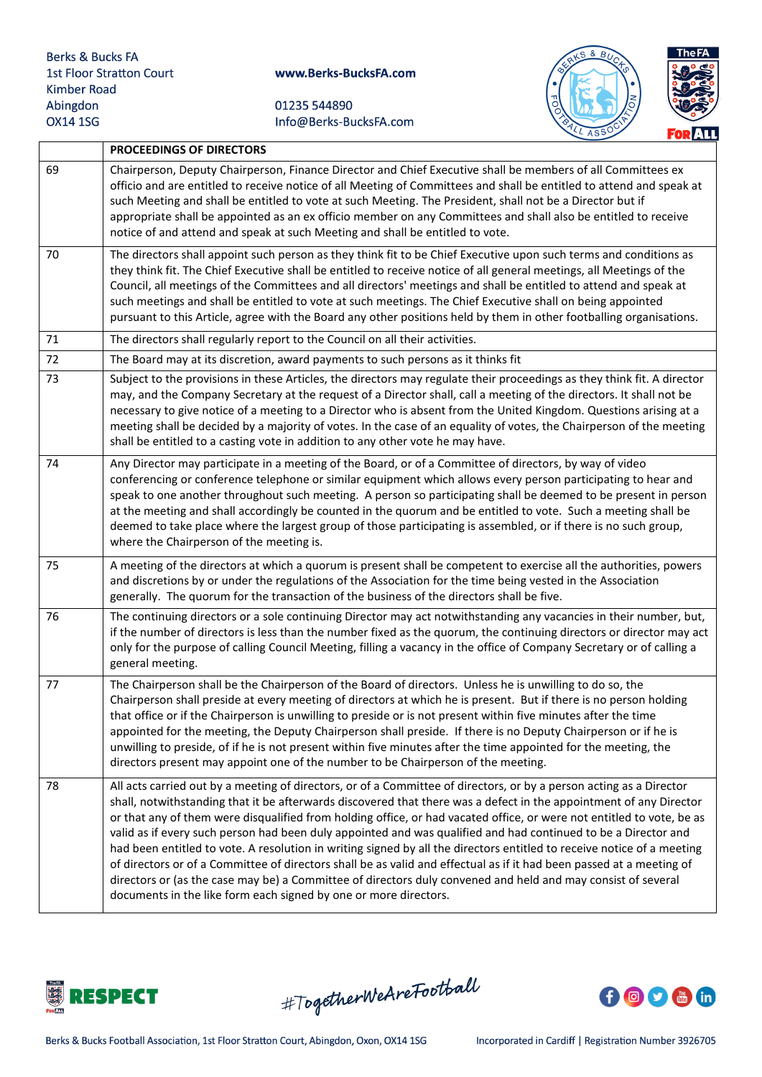



|    | PROCEEDINGS OF DIRECTORS                                                                                                                                                                                                                                                                                                                                                                                                                                                                                                                                                                                                                                                                                                                                                                                                                                                                                                   |
|----|----------------------------------------------------------------------------------------------------------------------------------------------------------------------------------------------------------------------------------------------------------------------------------------------------------------------------------------------------------------------------------------------------------------------------------------------------------------------------------------------------------------------------------------------------------------------------------------------------------------------------------------------------------------------------------------------------------------------------------------------------------------------------------------------------------------------------------------------------------------------------------------------------------------------------|
| 69 | Chairperson, Deputy Chairperson, Finance Director and Chief Executive shall be members of all Committees ex<br>officio and are entitled to receive notice of all Meeting of Committees and shall be entitled to attend and speak at<br>such Meeting and shall be entitled to vote at such Meeting. The President, shall not be a Director but if<br>appropriate shall be appointed as an ex officio member on any Committees and shall also be entitled to receive<br>notice of and attend and speak at such Meeting and shall be entitled to vote.                                                                                                                                                                                                                                                                                                                                                                        |
| 70 | The directors shall appoint such person as they think fit to be Chief Executive upon such terms and conditions as<br>they think fit. The Chief Executive shall be entitled to receive notice of all general meetings, all Meetings of the<br>Council, all meetings of the Committees and all directors' meetings and shall be entitled to attend and speak at<br>such meetings and shall be entitled to vote at such meetings. The Chief Executive shall on being appointed<br>pursuant to this Article, agree with the Board any other positions held by them in other footballing organisations.                                                                                                                                                                                                                                                                                                                         |
| 71 | The directors shall regularly report to the Council on all their activities.                                                                                                                                                                                                                                                                                                                                                                                                                                                                                                                                                                                                                                                                                                                                                                                                                                               |
| 72 | The Board may at its discretion, award payments to such persons as it thinks fit                                                                                                                                                                                                                                                                                                                                                                                                                                                                                                                                                                                                                                                                                                                                                                                                                                           |
| 73 | Subject to the provisions in these Articles, the directors may regulate their proceedings as they think fit. A director<br>may, and the Company Secretary at the request of a Director shall, call a meeting of the directors. It shall not be<br>necessary to give notice of a meeting to a Director who is absent from the United Kingdom. Questions arising at a<br>meeting shall be decided by a majority of votes. In the case of an equality of votes, the Chairperson of the meeting<br>shall be entitled to a casting vote in addition to any other vote he may have.                                                                                                                                                                                                                                                                                                                                              |
| 74 | Any Director may participate in a meeting of the Board, or of a Committee of directors, by way of video<br>conferencing or conference telephone or similar equipment which allows every person participating to hear and<br>speak to one another throughout such meeting. A person so participating shall be deemed to be present in person<br>at the meeting and shall accordingly be counted in the quorum and be entitled to vote. Such a meeting shall be<br>deemed to take place where the largest group of those participating is assembled, or if there is no such group,<br>where the Chairperson of the meeting is.                                                                                                                                                                                                                                                                                               |
| 75 | A meeting of the directors at which a quorum is present shall be competent to exercise all the authorities, powers<br>and discretions by or under the regulations of the Association for the time being vested in the Association<br>generally. The quorum for the transaction of the business of the directors shall be five.                                                                                                                                                                                                                                                                                                                                                                                                                                                                                                                                                                                             |
| 76 | The continuing directors or a sole continuing Director may act notwithstanding any vacancies in their number, but,<br>if the number of directors is less than the number fixed as the quorum, the continuing directors or director may act<br>only for the purpose of calling Council Meeting, filling a vacancy in the office of Company Secretary or of calling a<br>general meeting.                                                                                                                                                                                                                                                                                                                                                                                                                                                                                                                                    |
| 77 | The Chairperson shall be the Chairperson of the Board of directors. Unless he is unwilling to do so, the<br>Chairperson shall preside at every meeting of directors at which he is present. But if there is no person holding<br>that office or if the Chairperson is unwilling to preside or is not present within five minutes after the time<br>appointed for the meeting, the Deputy Chairperson shall preside. If there is no Deputy Chairperson or if he is<br>unwilling to preside, of if he is not present within five minutes after the time appointed for the meeting, the<br>directors present may appoint one of the number to be Chairperson of the meeting.                                                                                                                                                                                                                                                  |
| 78 | All acts carried out by a meeting of directors, or of a Committee of directors, or by a person acting as a Director<br>shall, notwithstanding that it be afterwards discovered that there was a defect in the appointment of any Director<br>or that any of them were disqualified from holding office, or had vacated office, or were not entitled to vote, be as<br>valid as if every such person had been duly appointed and was qualified and had continued to be a Director and<br>had been entitled to vote. A resolution in writing signed by all the directors entitled to receive notice of a meeting<br>of directors or of a Committee of directors shall be as valid and effectual as if it had been passed at a meeting of<br>directors or (as the case may be) a Committee of directors duly convened and held and may consist of several<br>documents in the like form each signed by one or more directors. |



#TogetherWeAreFootball

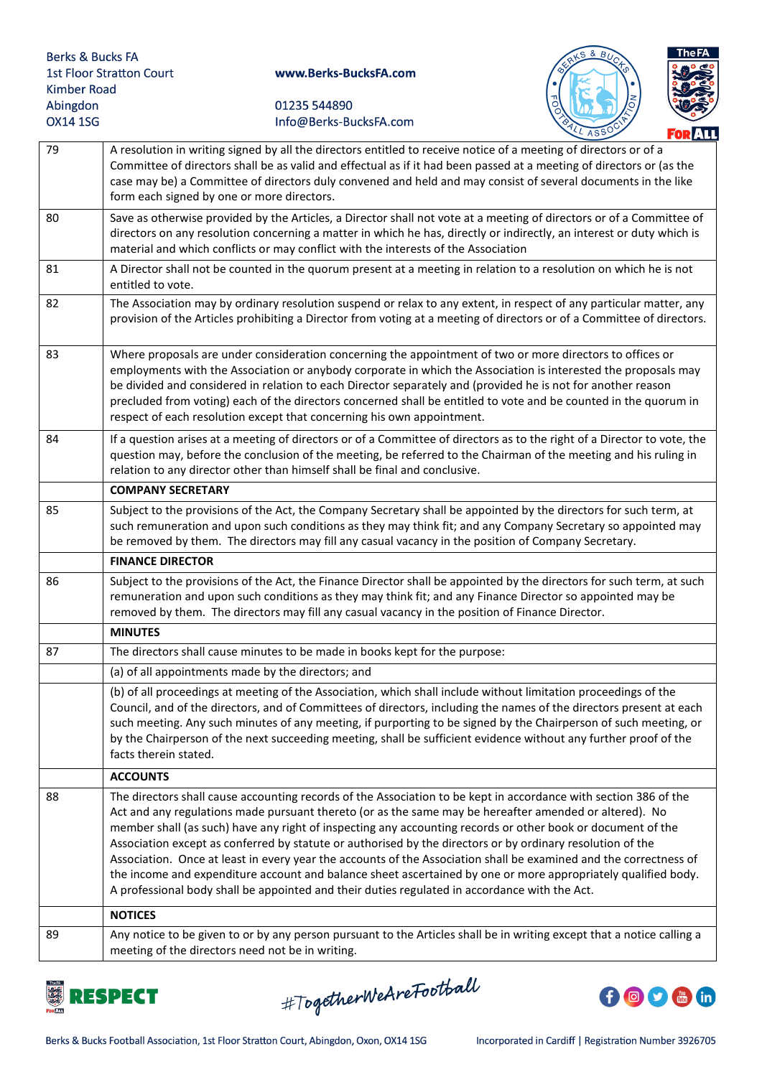



|    | LL ASSL<br><b>FOR ALL</b>                                                                                                                                                                                                                                                                                                                                                                                                                                                                                                                                                                                                                                                                                                                                                                      |
|----|------------------------------------------------------------------------------------------------------------------------------------------------------------------------------------------------------------------------------------------------------------------------------------------------------------------------------------------------------------------------------------------------------------------------------------------------------------------------------------------------------------------------------------------------------------------------------------------------------------------------------------------------------------------------------------------------------------------------------------------------------------------------------------------------|
| 79 | A resolution in writing signed by all the directors entitled to receive notice of a meeting of directors or of a<br>Committee of directors shall be as valid and effectual as if it had been passed at a meeting of directors or (as the<br>case may be) a Committee of directors duly convened and held and may consist of several documents in the like<br>form each signed by one or more directors.                                                                                                                                                                                                                                                                                                                                                                                        |
| 80 | Save as otherwise provided by the Articles, a Director shall not vote at a meeting of directors or of a Committee of<br>directors on any resolution concerning a matter in which he has, directly or indirectly, an interest or duty which is<br>material and which conflicts or may conflict with the interests of the Association                                                                                                                                                                                                                                                                                                                                                                                                                                                            |
| 81 | A Director shall not be counted in the quorum present at a meeting in relation to a resolution on which he is not<br>entitled to vote.                                                                                                                                                                                                                                                                                                                                                                                                                                                                                                                                                                                                                                                         |
| 82 | The Association may by ordinary resolution suspend or relax to any extent, in respect of any particular matter, any<br>provision of the Articles prohibiting a Director from voting at a meeting of directors or of a Committee of directors.                                                                                                                                                                                                                                                                                                                                                                                                                                                                                                                                                  |
| 83 | Where proposals are under consideration concerning the appointment of two or more directors to offices or<br>employments with the Association or anybody corporate in which the Association is interested the proposals may<br>be divided and considered in relation to each Director separately and (provided he is not for another reason<br>precluded from voting) each of the directors concerned shall be entitled to vote and be counted in the quorum in<br>respect of each resolution except that concerning his own appointment.                                                                                                                                                                                                                                                      |
| 84 | If a question arises at a meeting of directors or of a Committee of directors as to the right of a Director to vote, the<br>question may, before the conclusion of the meeting, be referred to the Chairman of the meeting and his ruling in<br>relation to any director other than himself shall be final and conclusive.                                                                                                                                                                                                                                                                                                                                                                                                                                                                     |
|    | <b>COMPANY SECRETARY</b>                                                                                                                                                                                                                                                                                                                                                                                                                                                                                                                                                                                                                                                                                                                                                                       |
| 85 | Subject to the provisions of the Act, the Company Secretary shall be appointed by the directors for such term, at<br>such remuneration and upon such conditions as they may think fit; and any Company Secretary so appointed may<br>be removed by them. The directors may fill any casual vacancy in the position of Company Secretary.                                                                                                                                                                                                                                                                                                                                                                                                                                                       |
|    | <b>FINANCE DIRECTOR</b>                                                                                                                                                                                                                                                                                                                                                                                                                                                                                                                                                                                                                                                                                                                                                                        |
| 86 | Subject to the provisions of the Act, the Finance Director shall be appointed by the directors for such term, at such<br>remuneration and upon such conditions as they may think fit; and any Finance Director so appointed may be<br>removed by them. The directors may fill any casual vacancy in the position of Finance Director.                                                                                                                                                                                                                                                                                                                                                                                                                                                          |
|    | <b>MINUTES</b>                                                                                                                                                                                                                                                                                                                                                                                                                                                                                                                                                                                                                                                                                                                                                                                 |
| 87 | The directors shall cause minutes to be made in books kept for the purpose:                                                                                                                                                                                                                                                                                                                                                                                                                                                                                                                                                                                                                                                                                                                    |
|    | (a) of all appointments made by the directors; and                                                                                                                                                                                                                                                                                                                                                                                                                                                                                                                                                                                                                                                                                                                                             |
|    | (b) of all proceedings at meeting of the Association, which shall include without limitation proceedings of the<br>Council, and of the directors, and of Committees of directors, including the names of the directors present at each<br>such meeting. Any such minutes of any meeting, if purporting to be signed by the Chairperson of such meeting, or<br>by the Chairperson of the next succeeding meeting, shall be sufficient evidence without any further proof of the<br>facts therein stated.                                                                                                                                                                                                                                                                                        |
|    | <b>ACCOUNTS</b>                                                                                                                                                                                                                                                                                                                                                                                                                                                                                                                                                                                                                                                                                                                                                                                |
| 88 | The directors shall cause accounting records of the Association to be kept in accordance with section 386 of the<br>Act and any regulations made pursuant thereto (or as the same may be hereafter amended or altered). No<br>member shall (as such) have any right of inspecting any accounting records or other book or document of the<br>Association except as conferred by statute or authorised by the directors or by ordinary resolution of the<br>Association. Once at least in every year the accounts of the Association shall be examined and the correctness of<br>the income and expenditure account and balance sheet ascertained by one or more appropriately qualified body.<br>A professional body shall be appointed and their duties regulated in accordance with the Act. |
|    | <b>NOTICES</b>                                                                                                                                                                                                                                                                                                                                                                                                                                                                                                                                                                                                                                                                                                                                                                                 |
| 89 | Any notice to be given to or by any person pursuant to the Articles shall be in writing except that a notice calling a<br>meeting of the directors need not be in writing.                                                                                                                                                                                                                                                                                                                                                                                                                                                                                                                                                                                                                     |



#TogetherWeAreFootball

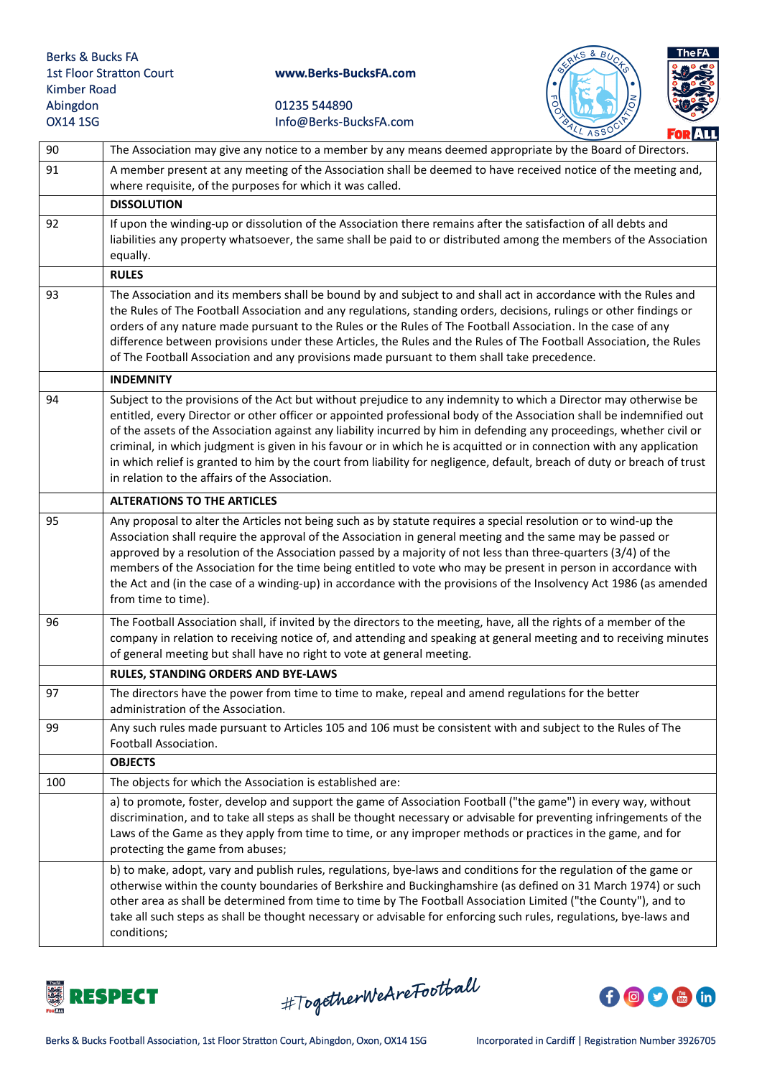



|     | $\sim$ ASP<br>FOR ALL                                                                                                                                                                                                                                                                                                                                                                                                                                                                                                                                                                                                                                                   |
|-----|-------------------------------------------------------------------------------------------------------------------------------------------------------------------------------------------------------------------------------------------------------------------------------------------------------------------------------------------------------------------------------------------------------------------------------------------------------------------------------------------------------------------------------------------------------------------------------------------------------------------------------------------------------------------------|
| 90  | The Association may give any notice to a member by any means deemed appropriate by the Board of Directors.                                                                                                                                                                                                                                                                                                                                                                                                                                                                                                                                                              |
| 91  | A member present at any meeting of the Association shall be deemed to have received notice of the meeting and,<br>where requisite, of the purposes for which it was called.                                                                                                                                                                                                                                                                                                                                                                                                                                                                                             |
|     | <b>DISSOLUTION</b>                                                                                                                                                                                                                                                                                                                                                                                                                                                                                                                                                                                                                                                      |
| 92  | If upon the winding-up or dissolution of the Association there remains after the satisfaction of all debts and<br>liabilities any property whatsoever, the same shall be paid to or distributed among the members of the Association<br>equally.                                                                                                                                                                                                                                                                                                                                                                                                                        |
|     | <b>RULES</b>                                                                                                                                                                                                                                                                                                                                                                                                                                                                                                                                                                                                                                                            |
| 93  | The Association and its members shall be bound by and subject to and shall act in accordance with the Rules and<br>the Rules of The Football Association and any regulations, standing orders, decisions, rulings or other findings or<br>orders of any nature made pursuant to the Rules or the Rules of The Football Association. In the case of any<br>difference between provisions under these Articles, the Rules and the Rules of The Football Association, the Rules<br>of The Football Association and any provisions made pursuant to them shall take precedence.                                                                                             |
|     | <b>INDEMNITY</b>                                                                                                                                                                                                                                                                                                                                                                                                                                                                                                                                                                                                                                                        |
| 94  | Subject to the provisions of the Act but without prejudice to any indemnity to which a Director may otherwise be<br>entitled, every Director or other officer or appointed professional body of the Association shall be indemnified out<br>of the assets of the Association against any liability incurred by him in defending any proceedings, whether civil or<br>criminal, in which judgment is given in his favour or in which he is acquitted or in connection with any application<br>in which relief is granted to him by the court from liability for negligence, default, breach of duty or breach of trust<br>in relation to the affairs of the Association. |
|     | <b>ALTERATIONS TO THE ARTICLES</b>                                                                                                                                                                                                                                                                                                                                                                                                                                                                                                                                                                                                                                      |
| 95  | Any proposal to alter the Articles not being such as by statute requires a special resolution or to wind-up the<br>Association shall require the approval of the Association in general meeting and the same may be passed or<br>approved by a resolution of the Association passed by a majority of not less than three-quarters (3/4) of the<br>members of the Association for the time being entitled to vote who may be present in person in accordance with<br>the Act and (in the case of a winding-up) in accordance with the provisions of the Insolvency Act 1986 (as amended<br>from time to time).                                                           |
| 96  | The Football Association shall, if invited by the directors to the meeting, have, all the rights of a member of the<br>company in relation to receiving notice of, and attending and speaking at general meeting and to receiving minutes<br>of general meeting but shall have no right to vote at general meeting.                                                                                                                                                                                                                                                                                                                                                     |
|     | RULES, STANDING ORDERS AND BYE-LAWS                                                                                                                                                                                                                                                                                                                                                                                                                                                                                                                                                                                                                                     |
| 97  | The directors have the power from time to time to make, repeal and amend regulations for the better<br>administration of the Association.                                                                                                                                                                                                                                                                                                                                                                                                                                                                                                                               |
| 99  | Any such rules made pursuant to Articles 105 and 106 must be consistent with and subject to the Rules of The<br>Football Association.                                                                                                                                                                                                                                                                                                                                                                                                                                                                                                                                   |
|     | <b>OBJECTS</b>                                                                                                                                                                                                                                                                                                                                                                                                                                                                                                                                                                                                                                                          |
| 100 | The objects for which the Association is established are:                                                                                                                                                                                                                                                                                                                                                                                                                                                                                                                                                                                                               |
|     | a) to promote, foster, develop and support the game of Association Football ("the game") in every way, without<br>discrimination, and to take all steps as shall be thought necessary or advisable for preventing infringements of the<br>Laws of the Game as they apply from time to time, or any improper methods or practices in the game, and for<br>protecting the game from abuses;                                                                                                                                                                                                                                                                               |
|     | b) to make, adopt, vary and publish rules, regulations, bye-laws and conditions for the regulation of the game or<br>otherwise within the county boundaries of Berkshire and Buckinghamshire (as defined on 31 March 1974) or such<br>other area as shall be determined from time to time by The Football Association Limited ("the County"), and to<br>take all such steps as shall be thought necessary or advisable for enforcing such rules, regulations, bye-laws and<br>conditions;                                                                                                                                                                               |



#TogetherWeAreFootball

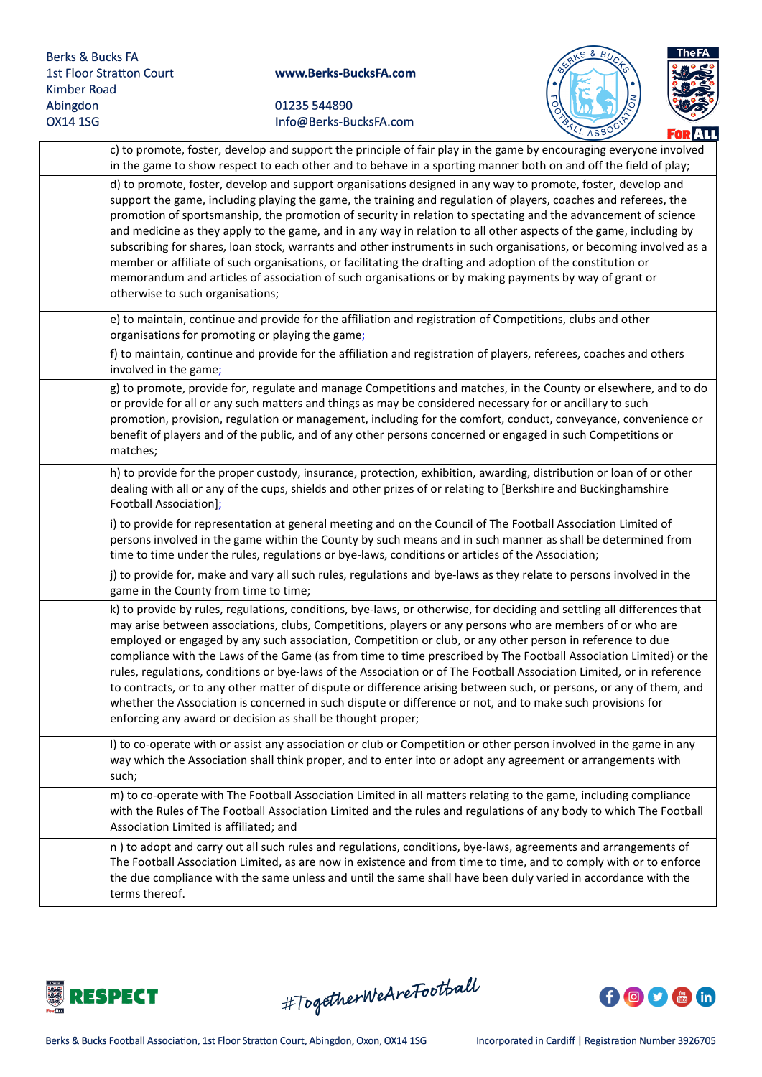



| <u> TURLIL</u>                                                                                                                                                                                                                                                                                                                                                                                                                                                                                                                                                                                                                                                                                                                                                                                                                                                                                      |
|-----------------------------------------------------------------------------------------------------------------------------------------------------------------------------------------------------------------------------------------------------------------------------------------------------------------------------------------------------------------------------------------------------------------------------------------------------------------------------------------------------------------------------------------------------------------------------------------------------------------------------------------------------------------------------------------------------------------------------------------------------------------------------------------------------------------------------------------------------------------------------------------------------|
| c) to promote, foster, develop and support the principle of fair play in the game by encouraging everyone involved<br>in the game to show respect to each other and to behave in a sporting manner both on and off the field of play;                                                                                                                                                                                                                                                                                                                                                                                                                                                                                                                                                                                                                                                               |
| d) to promote, foster, develop and support organisations designed in any way to promote, foster, develop and<br>support the game, including playing the game, the training and regulation of players, coaches and referees, the<br>promotion of sportsmanship, the promotion of security in relation to spectating and the advancement of science<br>and medicine as they apply to the game, and in any way in relation to all other aspects of the game, including by<br>subscribing for shares, loan stock, warrants and other instruments in such organisations, or becoming involved as a<br>member or affiliate of such organisations, or facilitating the drafting and adoption of the constitution or<br>memorandum and articles of association of such organisations or by making payments by way of grant or<br>otherwise to such organisations;                                           |
| e) to maintain, continue and provide for the affiliation and registration of Competitions, clubs and other<br>organisations for promoting or playing the game;                                                                                                                                                                                                                                                                                                                                                                                                                                                                                                                                                                                                                                                                                                                                      |
| f) to maintain, continue and provide for the affiliation and registration of players, referees, coaches and others<br>involved in the game;                                                                                                                                                                                                                                                                                                                                                                                                                                                                                                                                                                                                                                                                                                                                                         |
| g) to promote, provide for, regulate and manage Competitions and matches, in the County or elsewhere, and to do<br>or provide for all or any such matters and things as may be considered necessary for or ancillary to such<br>promotion, provision, regulation or management, including for the comfort, conduct, conveyance, convenience or<br>benefit of players and of the public, and of any other persons concerned or engaged in such Competitions or<br>matches;                                                                                                                                                                                                                                                                                                                                                                                                                           |
| h) to provide for the proper custody, insurance, protection, exhibition, awarding, distribution or loan of or other<br>dealing with all or any of the cups, shields and other prizes of or relating to [Berkshire and Buckinghamshire<br>Football Association];                                                                                                                                                                                                                                                                                                                                                                                                                                                                                                                                                                                                                                     |
| i) to provide for representation at general meeting and on the Council of The Football Association Limited of<br>persons involved in the game within the County by such means and in such manner as shall be determined from<br>time to time under the rules, regulations or bye-laws, conditions or articles of the Association;                                                                                                                                                                                                                                                                                                                                                                                                                                                                                                                                                                   |
| j) to provide for, make and vary all such rules, regulations and bye-laws as they relate to persons involved in the<br>game in the County from time to time;                                                                                                                                                                                                                                                                                                                                                                                                                                                                                                                                                                                                                                                                                                                                        |
| k) to provide by rules, regulations, conditions, bye-laws, or otherwise, for deciding and settling all differences that<br>may arise between associations, clubs, Competitions, players or any persons who are members of or who are<br>employed or engaged by any such association, Competition or club, or any other person in reference to due<br>compliance with the Laws of the Game (as from time to time prescribed by The Football Association Limited) or the<br>rules, regulations, conditions or bye-laws of the Association or of The Football Association Limited, or in reference<br>to contracts, or to any other matter of dispute or difference arising between such, or persons, or any of them, and<br>whether the Association is concerned in such dispute or difference or not, and to make such provisions for<br>enforcing any award or decision as shall be thought proper; |
| I) to co-operate with or assist any association or club or Competition or other person involved in the game in any<br>way which the Association shall think proper, and to enter into or adopt any agreement or arrangements with<br>such;                                                                                                                                                                                                                                                                                                                                                                                                                                                                                                                                                                                                                                                          |
| m) to co-operate with The Football Association Limited in all matters relating to the game, including compliance<br>with the Rules of The Football Association Limited and the rules and regulations of any body to which The Football<br>Association Limited is affiliated; and                                                                                                                                                                                                                                                                                                                                                                                                                                                                                                                                                                                                                    |
| n) to adopt and carry out all such rules and regulations, conditions, bye-laws, agreements and arrangements of<br>The Football Association Limited, as are now in existence and from time to time, and to comply with or to enforce<br>the due compliance with the same unless and until the same shall have been duly varied in accordance with the<br>terms thereof.                                                                                                                                                                                                                                                                                                                                                                                                                                                                                                                              |



#TogetherWeAreFootball